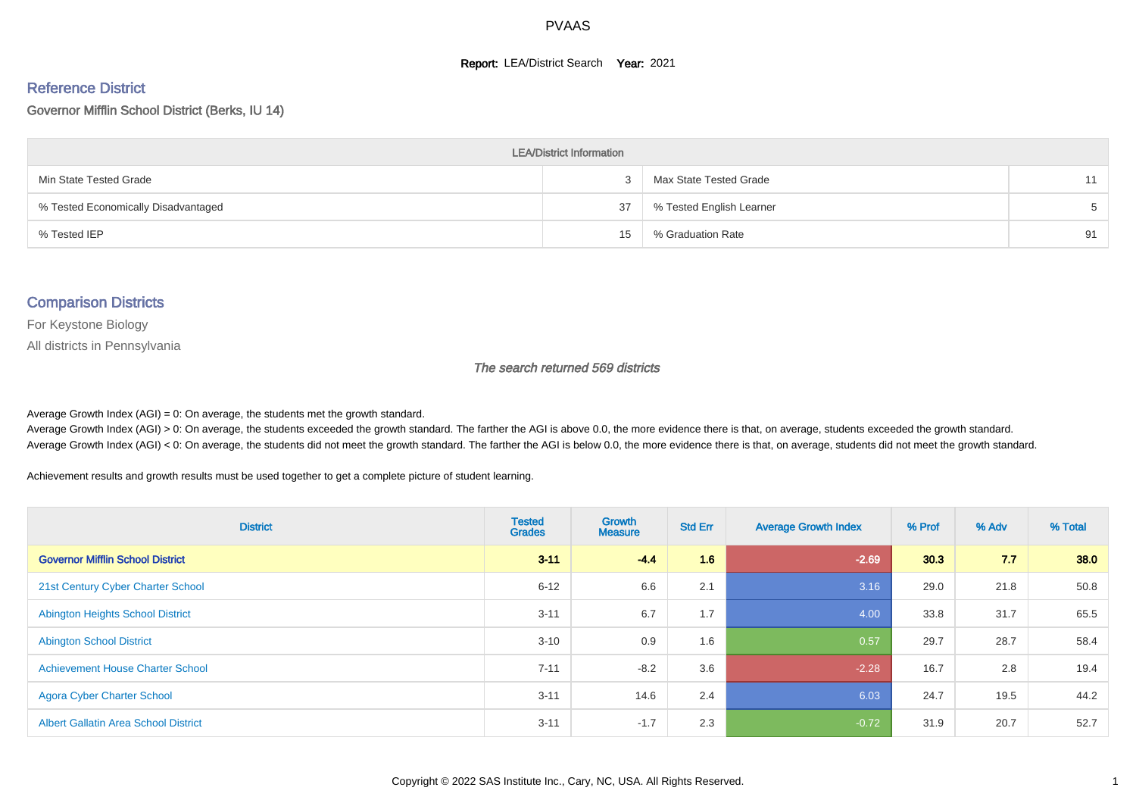#### **Report: LEA/District Search Year: 2021**

#### Reference District

#### Governor Mifflin School District (Berks, IU 14)

| <b>LEA/District Information</b>     |    |                          |       |  |  |  |  |  |  |
|-------------------------------------|----|--------------------------|-------|--|--|--|--|--|--|
| Min State Tested Grade              |    | Max State Tested Grade   | 11    |  |  |  |  |  |  |
| % Tested Economically Disadvantaged | 37 | % Tested English Learner | $5 -$ |  |  |  |  |  |  |
| % Tested IEP                        | 15 | % Graduation Rate        | 91    |  |  |  |  |  |  |

#### Comparison Districts

For Keystone Biology

All districts in Pennsylvania

The search returned 569 districts

Average Growth Index  $(AGI) = 0$ : On average, the students met the growth standard.

Average Growth Index (AGI) > 0: On average, the students exceeded the growth standard. The farther the AGI is above 0.0, the more evidence there is that, on average, students exceeded the growth standard. Average Growth Index (AGI) < 0: On average, the students did not meet the growth standard. The farther the AGI is below 0.0, the more evidence there is that, on average, students did not meet the growth standard.

Achievement results and growth results must be used together to get a complete picture of student learning.

| <b>District</b>                             | <b>Tested</b><br><b>Grades</b> | <b>Growth</b><br><b>Measure</b> | <b>Std Err</b> | <b>Average Growth Index</b> | % Prof | % Adv | % Total |
|---------------------------------------------|--------------------------------|---------------------------------|----------------|-----------------------------|--------|-------|---------|
| <b>Governor Mifflin School District</b>     | $3 - 11$                       | $-4.4$                          | 1.6            | $-2.69$                     | 30.3   | 7.7   | 38.0    |
| 21st Century Cyber Charter School           | $6 - 12$                       | 6.6                             | 2.1            | 3.16                        | 29.0   | 21.8  | 50.8    |
| <b>Abington Heights School District</b>     | $3 - 11$                       | 6.7                             | 1.7            | 4.00                        | 33.8   | 31.7  | 65.5    |
| <b>Abington School District</b>             | $3 - 10$                       | 0.9                             | 1.6            | 0.57                        | 29.7   | 28.7  | 58.4    |
| <b>Achievement House Charter School</b>     | $7 - 11$                       | $-8.2$                          | 3.6            | $-2.28$                     | 16.7   | 2.8   | 19.4    |
| <b>Agora Cyber Charter School</b>           | $3 - 11$                       | 14.6                            | 2.4            | 6.03                        | 24.7   | 19.5  | 44.2    |
| <b>Albert Gallatin Area School District</b> | $3 - 11$                       | $-1.7$                          | 2.3            | $-0.72$                     | 31.9   | 20.7  | 52.7    |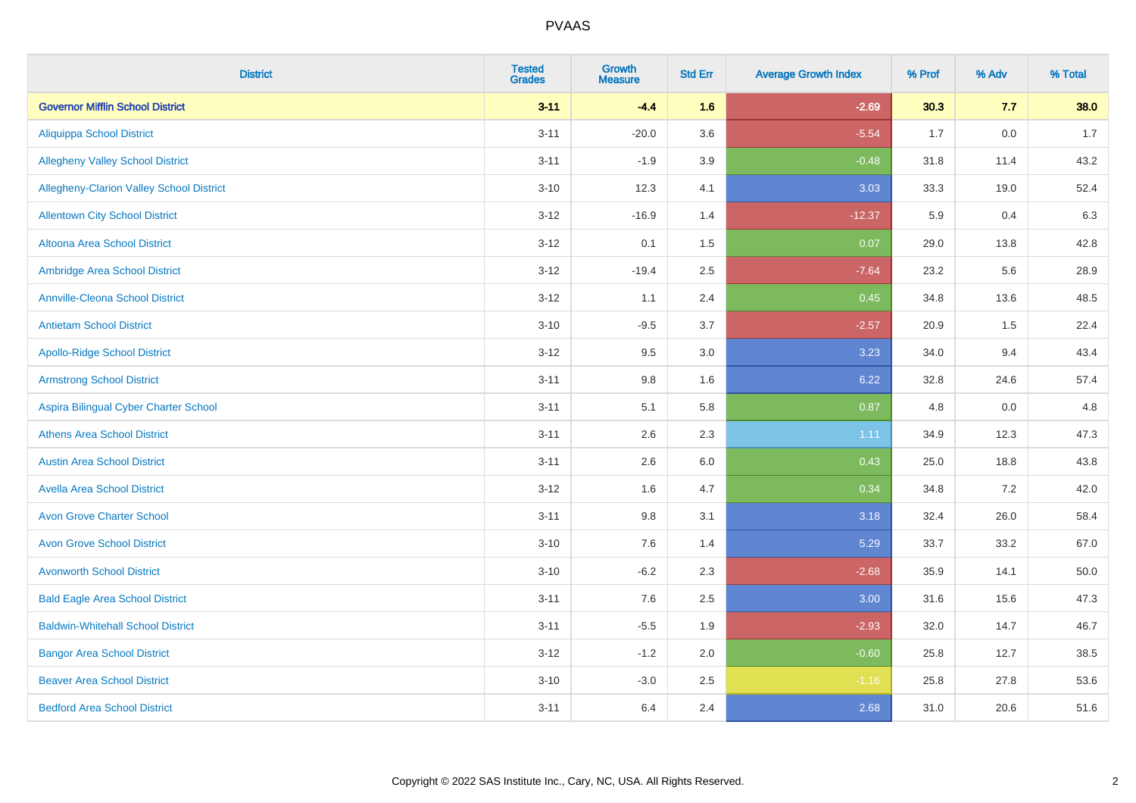| <b>District</b>                          | <b>Tested</b><br><b>Grades</b> | <b>Growth</b><br><b>Measure</b> | <b>Std Err</b> | <b>Average Growth Index</b> | % Prof | % Adv | % Total |
|------------------------------------------|--------------------------------|---------------------------------|----------------|-----------------------------|--------|-------|---------|
| <b>Governor Mifflin School District</b>  | $3 - 11$                       | $-4.4$                          | 1.6            | $-2.69$                     | 30.3   | 7.7   | 38.0    |
| <b>Aliquippa School District</b>         | $3 - 11$                       | $-20.0$                         | 3.6            | $-5.54$                     | 1.7    | 0.0   | 1.7     |
| <b>Allegheny Valley School District</b>  | $3 - 11$                       | $-1.9$                          | 3.9            | $-0.48$                     | 31.8   | 11.4  | 43.2    |
| Allegheny-Clarion Valley School District | $3 - 10$                       | 12.3                            | 4.1            | 3.03                        | 33.3   | 19.0  | 52.4    |
| <b>Allentown City School District</b>    | $3 - 12$                       | $-16.9$                         | 1.4            | $-12.37$                    | 5.9    | 0.4   | 6.3     |
| <b>Altoona Area School District</b>      | $3 - 12$                       | 0.1                             | 1.5            | 0.07                        | 29.0   | 13.8  | 42.8    |
| Ambridge Area School District            | $3 - 12$                       | $-19.4$                         | 2.5            | $-7.64$                     | 23.2   | 5.6   | 28.9    |
| <b>Annville-Cleona School District</b>   | $3 - 12$                       | 1.1                             | 2.4            | 0.45                        | 34.8   | 13.6  | 48.5    |
| <b>Antietam School District</b>          | $3 - 10$                       | $-9.5$                          | 3.7            | $-2.57$                     | 20.9   | 1.5   | 22.4    |
| <b>Apollo-Ridge School District</b>      | $3 - 12$                       | 9.5                             | 3.0            | 3.23                        | 34.0   | 9.4   | 43.4    |
| <b>Armstrong School District</b>         | $3 - 11$                       | 9.8                             | 1.6            | 6.22                        | 32.8   | 24.6  | 57.4    |
| Aspira Bilingual Cyber Charter School    | $3 - 11$                       | 5.1                             | 5.8            | 0.87                        | 4.8    | 0.0   | 4.8     |
| <b>Athens Area School District</b>       | $3 - 11$                       | 2.6                             | 2.3            | 1.11                        | 34.9   | 12.3  | 47.3    |
| <b>Austin Area School District</b>       | $3 - 11$                       | 2.6                             | 6.0            | 0.43                        | 25.0   | 18.8  | 43.8    |
| <b>Avella Area School District</b>       | $3 - 12$                       | 1.6                             | 4.7            | 0.34                        | 34.8   | 7.2   | 42.0    |
| <b>Avon Grove Charter School</b>         | $3 - 11$                       | $9.8\,$                         | 3.1            | 3.18                        | 32.4   | 26.0  | 58.4    |
| <b>Avon Grove School District</b>        | $3 - 10$                       | 7.6                             | 1.4            | 5.29                        | 33.7   | 33.2  | 67.0    |
| <b>Avonworth School District</b>         | $3 - 10$                       | $-6.2$                          | 2.3            | $-2.68$                     | 35.9   | 14.1  | 50.0    |
| <b>Bald Eagle Area School District</b>   | $3 - 11$                       | 7.6                             | 2.5            | 3.00                        | 31.6   | 15.6  | 47.3    |
| <b>Baldwin-Whitehall School District</b> | $3 - 11$                       | $-5.5$                          | 1.9            | $-2.93$                     | 32.0   | 14.7  | 46.7    |
| <b>Bangor Area School District</b>       | $3 - 12$                       | $-1.2$                          | 2.0            | $-0.60$                     | 25.8   | 12.7  | 38.5    |
| <b>Beaver Area School District</b>       | $3 - 10$                       | $-3.0$                          | 2.5            | $-1.16$                     | 25.8   | 27.8  | 53.6    |
| <b>Bedford Area School District</b>      | $3 - 11$                       | 6.4                             | 2.4            | 2.68                        | 31.0   | 20.6  | 51.6    |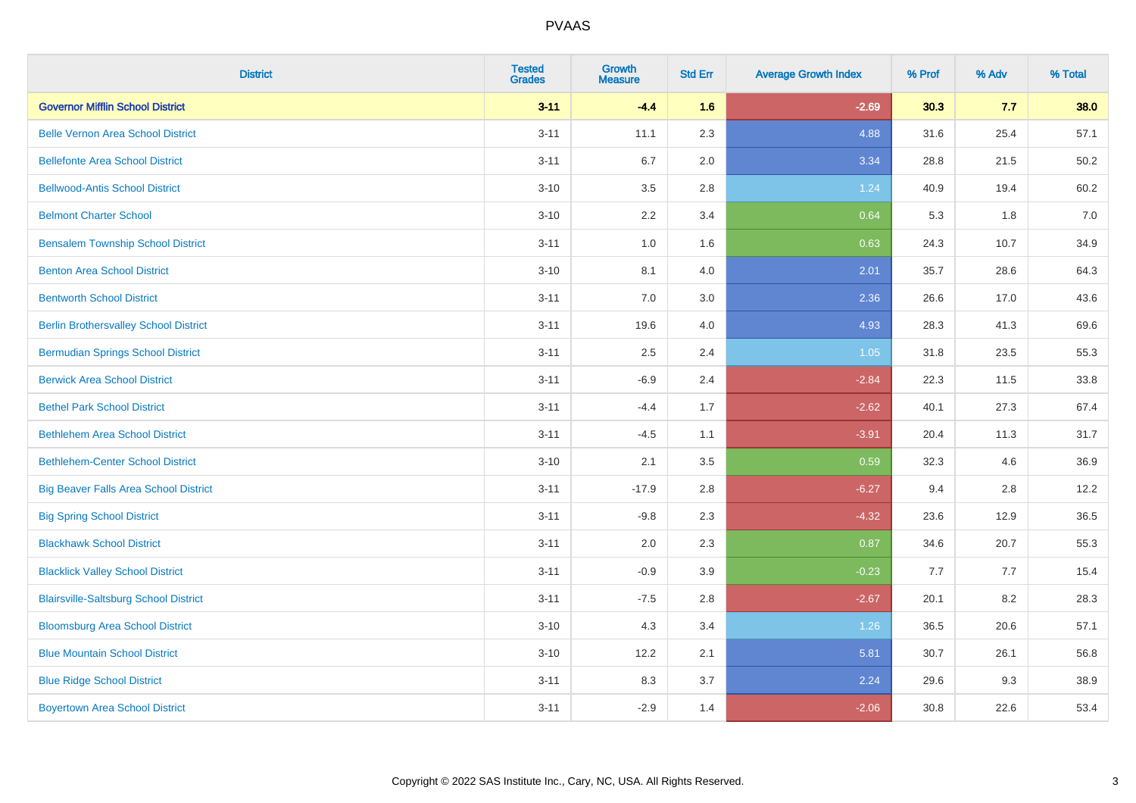| <b>District</b>                              | <b>Tested</b><br><b>Grades</b> | <b>Growth</b><br><b>Measure</b> | <b>Std Err</b> | <b>Average Growth Index</b> | % Prof | % Adv | % Total |
|----------------------------------------------|--------------------------------|---------------------------------|----------------|-----------------------------|--------|-------|---------|
| <b>Governor Mifflin School District</b>      | $3 - 11$                       | $-4.4$                          | 1.6            | $-2.69$                     | 30.3   | 7.7   | 38.0    |
| <b>Belle Vernon Area School District</b>     | $3 - 11$                       | 11.1                            | 2.3            | 4.88                        | 31.6   | 25.4  | 57.1    |
| <b>Bellefonte Area School District</b>       | $3 - 11$                       | 6.7                             | 2.0            | 3.34                        | 28.8   | 21.5  | 50.2    |
| <b>Bellwood-Antis School District</b>        | $3 - 10$                       | 3.5                             | 2.8            | 1.24                        | 40.9   | 19.4  | 60.2    |
| <b>Belmont Charter School</b>                | $3 - 10$                       | 2.2                             | 3.4            | 0.64                        | 5.3    | 1.8   | 7.0     |
| <b>Bensalem Township School District</b>     | $3 - 11$                       | 1.0                             | 1.6            | 0.63                        | 24.3   | 10.7  | 34.9    |
| <b>Benton Area School District</b>           | $3 - 10$                       | 8.1                             | 4.0            | 2.01                        | 35.7   | 28.6  | 64.3    |
| <b>Bentworth School District</b>             | $3 - 11$                       | 7.0                             | 3.0            | 2.36                        | 26.6   | 17.0  | 43.6    |
| <b>Berlin Brothersvalley School District</b> | $3 - 11$                       | 19.6                            | 4.0            | 4.93                        | 28.3   | 41.3  | 69.6    |
| <b>Bermudian Springs School District</b>     | $3 - 11$                       | 2.5                             | 2.4            | 1.05                        | 31.8   | 23.5  | 55.3    |
| <b>Berwick Area School District</b>          | $3 - 11$                       | $-6.9$                          | 2.4            | $-2.84$                     | 22.3   | 11.5  | 33.8    |
| <b>Bethel Park School District</b>           | $3 - 11$                       | $-4.4$                          | 1.7            | $-2.62$                     | 40.1   | 27.3  | 67.4    |
| <b>Bethlehem Area School District</b>        | $3 - 11$                       | $-4.5$                          | 1.1            | $-3.91$                     | 20.4   | 11.3  | 31.7    |
| <b>Bethlehem-Center School District</b>      | $3 - 10$                       | 2.1                             | 3.5            | 0.59                        | 32.3   | 4.6   | 36.9    |
| <b>Big Beaver Falls Area School District</b> | $3 - 11$                       | $-17.9$                         | 2.8            | $-6.27$                     | 9.4    | 2.8   | 12.2    |
| <b>Big Spring School District</b>            | $3 - 11$                       | $-9.8$                          | 2.3            | $-4.32$                     | 23.6   | 12.9  | 36.5    |
| <b>Blackhawk School District</b>             | $3 - 11$                       | 2.0                             | 2.3            | 0.87                        | 34.6   | 20.7  | 55.3    |
| <b>Blacklick Valley School District</b>      | $3 - 11$                       | $-0.9$                          | 3.9            | $-0.23$                     | 7.7    | 7.7   | 15.4    |
| <b>Blairsville-Saltsburg School District</b> | $3 - 11$                       | $-7.5$                          | 2.8            | $-2.67$                     | 20.1   | 8.2   | 28.3    |
| <b>Bloomsburg Area School District</b>       | $3 - 10$                       | 4.3                             | 3.4            | 1.26                        | 36.5   | 20.6  | 57.1    |
| <b>Blue Mountain School District</b>         | $3 - 10$                       | 12.2                            | 2.1            | 5.81                        | 30.7   | 26.1  | 56.8    |
| <b>Blue Ridge School District</b>            | $3 - 11$                       | 8.3                             | 3.7            | 2.24                        | 29.6   | 9.3   | 38.9    |
| <b>Boyertown Area School District</b>        | $3 - 11$                       | $-2.9$                          | 1.4            | $-2.06$                     | 30.8   | 22.6  | 53.4    |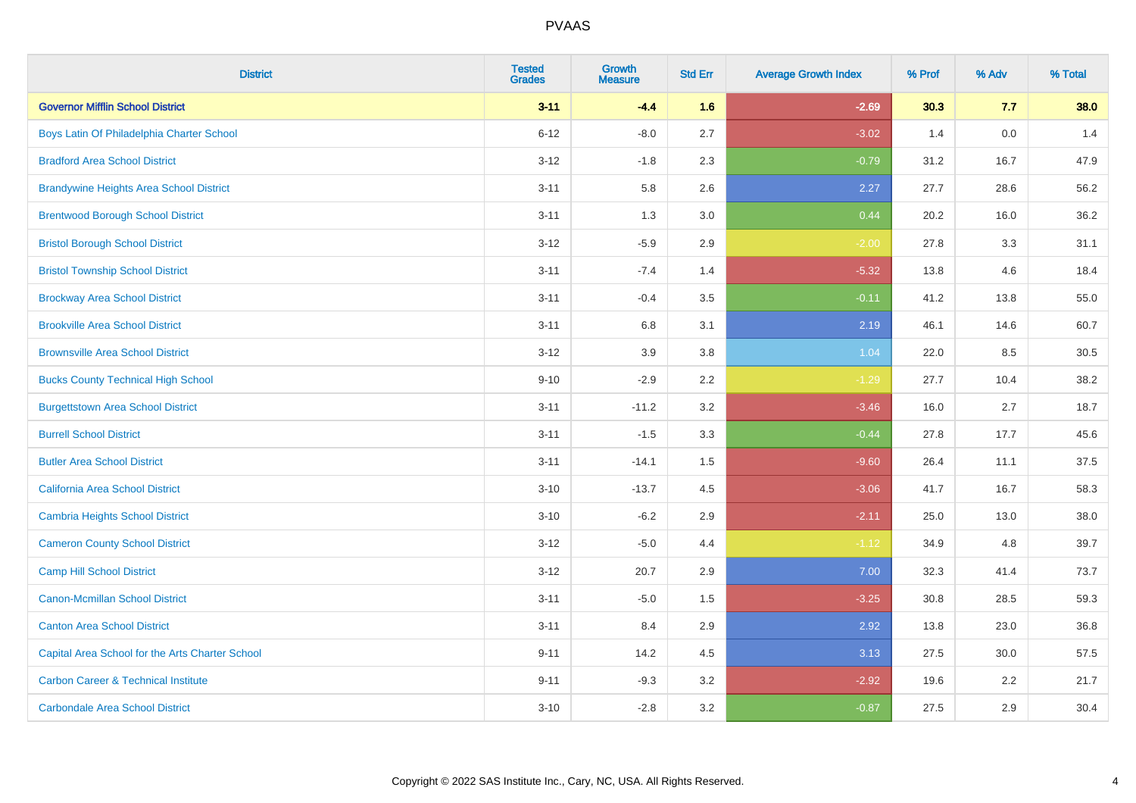| <b>District</b>                                 | <b>Tested</b><br><b>Grades</b> | <b>Growth</b><br><b>Measure</b> | <b>Std Err</b> | <b>Average Growth Index</b> | % Prof | % Adv | % Total |
|-------------------------------------------------|--------------------------------|---------------------------------|----------------|-----------------------------|--------|-------|---------|
| <b>Governor Mifflin School District</b>         | $3 - 11$                       | $-4.4$                          | 1.6            | $-2.69$                     | 30.3   | 7.7   | 38.0    |
| Boys Latin Of Philadelphia Charter School       | $6 - 12$                       | $-8.0$                          | 2.7            | $-3.02$                     | 1.4    | 0.0   | 1.4     |
| <b>Bradford Area School District</b>            | $3 - 12$                       | $-1.8$                          | 2.3            | $-0.79$                     | 31.2   | 16.7  | 47.9    |
| <b>Brandywine Heights Area School District</b>  | $3 - 11$                       | 5.8                             | 2.6            | 2.27                        | 27.7   | 28.6  | 56.2    |
| <b>Brentwood Borough School District</b>        | $3 - 11$                       | 1.3                             | 3.0            | 0.44                        | 20.2   | 16.0  | 36.2    |
| <b>Bristol Borough School District</b>          | $3 - 12$                       | $-5.9$                          | 2.9            | $-2.00$                     | 27.8   | 3.3   | 31.1    |
| <b>Bristol Township School District</b>         | $3 - 11$                       | $-7.4$                          | 1.4            | $-5.32$                     | 13.8   | 4.6   | 18.4    |
| <b>Brockway Area School District</b>            | $3 - 11$                       | $-0.4$                          | 3.5            | $-0.11$                     | 41.2   | 13.8  | 55.0    |
| <b>Brookville Area School District</b>          | $3 - 11$                       | 6.8                             | 3.1            | 2.19                        | 46.1   | 14.6  | 60.7    |
| <b>Brownsville Area School District</b>         | $3 - 12$                       | 3.9                             | 3.8            | 1.04                        | 22.0   | 8.5   | 30.5    |
| <b>Bucks County Technical High School</b>       | $9 - 10$                       | $-2.9$                          | 2.2            | $-1.29$                     | 27.7   | 10.4  | 38.2    |
| <b>Burgettstown Area School District</b>        | $3 - 11$                       | $-11.2$                         | 3.2            | $-3.46$                     | 16.0   | 2.7   | 18.7    |
| <b>Burrell School District</b>                  | $3 - 11$                       | $-1.5$                          | 3.3            | $-0.44$                     | 27.8   | 17.7  | 45.6    |
| <b>Butler Area School District</b>              | $3 - 11$                       | $-14.1$                         | 1.5            | $-9.60$                     | 26.4   | 11.1  | 37.5    |
| California Area School District                 | $3 - 10$                       | $-13.7$                         | 4.5            | $-3.06$                     | 41.7   | 16.7  | 58.3    |
| <b>Cambria Heights School District</b>          | $3 - 10$                       | $-6.2$                          | 2.9            | $-2.11$                     | 25.0   | 13.0  | 38.0    |
| <b>Cameron County School District</b>           | $3 - 12$                       | $-5.0$                          | 4.4            | $-1.12$                     | 34.9   | 4.8   | 39.7    |
| <b>Camp Hill School District</b>                | $3 - 12$                       | 20.7                            | 2.9            | 7.00                        | 32.3   | 41.4  | 73.7    |
| <b>Canon-Mcmillan School District</b>           | $3 - 11$                       | $-5.0$                          | $1.5$          | $-3.25$                     | 30.8   | 28.5  | 59.3    |
| <b>Canton Area School District</b>              | $3 - 11$                       | 8.4                             | 2.9            | 2.92                        | 13.8   | 23.0  | 36.8    |
| Capital Area School for the Arts Charter School | $9 - 11$                       | 14.2                            | 4.5            | 3.13                        | 27.5   | 30.0  | 57.5    |
| <b>Carbon Career &amp; Technical Institute</b>  | $9 - 11$                       | $-9.3$                          | 3.2            | $-2.92$                     | 19.6   | 2.2   | 21.7    |
| <b>Carbondale Area School District</b>          | $3 - 10$                       | $-2.8$                          | 3.2            | $-0.87$                     | 27.5   | 2.9   | 30.4    |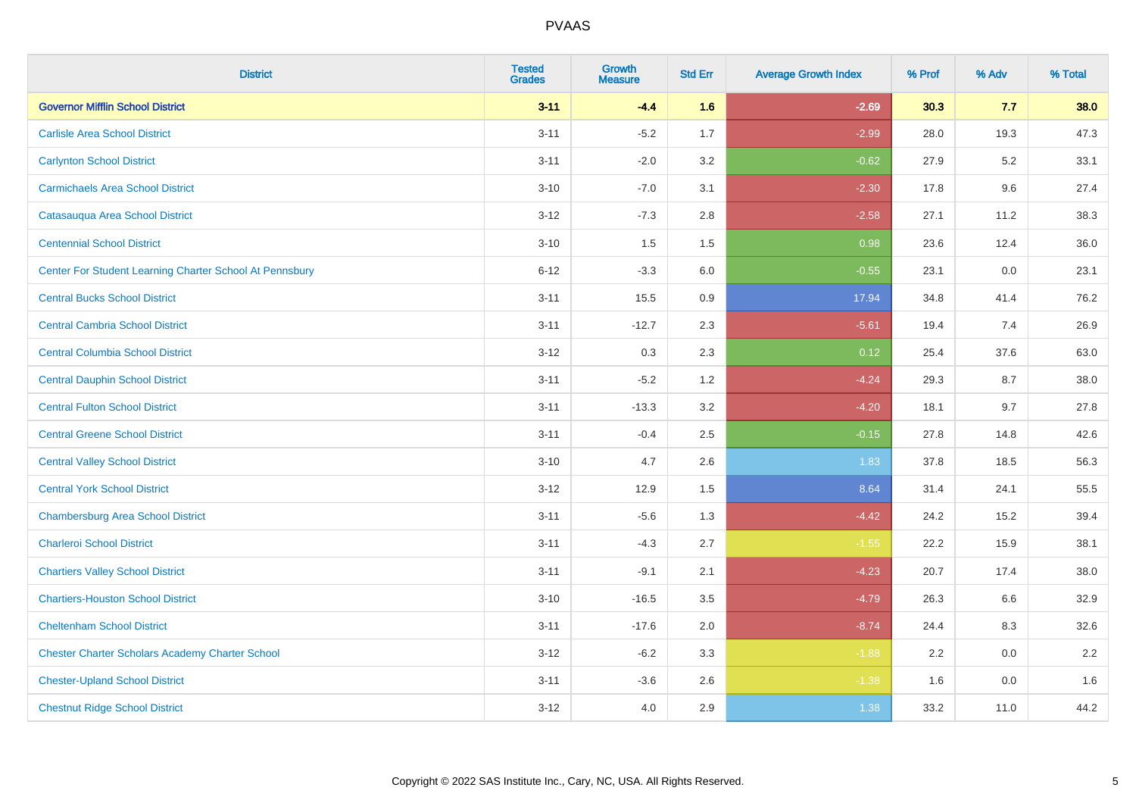| <b>District</b>                                         | <b>Tested</b><br><b>Grades</b> | <b>Growth</b><br><b>Measure</b> | <b>Std Err</b> | <b>Average Growth Index</b> | % Prof | % Adv | % Total |
|---------------------------------------------------------|--------------------------------|---------------------------------|----------------|-----------------------------|--------|-------|---------|
| <b>Governor Mifflin School District</b>                 | $3 - 11$                       | $-4.4$                          | 1.6            | $-2.69$                     | 30.3   | 7.7   | 38.0    |
| <b>Carlisle Area School District</b>                    | $3 - 11$                       | $-5.2$                          | 1.7            | $-2.99$                     | 28.0   | 19.3  | 47.3    |
| <b>Carlynton School District</b>                        | $3 - 11$                       | $-2.0$                          | 3.2            | $-0.62$                     | 27.9   | 5.2   | 33.1    |
| <b>Carmichaels Area School District</b>                 | $3 - 10$                       | $-7.0$                          | 3.1            | $-2.30$                     | 17.8   | 9.6   | 27.4    |
| Catasauqua Area School District                         | $3 - 12$                       | $-7.3$                          | 2.8            | $-2.58$                     | 27.1   | 11.2  | 38.3    |
| <b>Centennial School District</b>                       | $3 - 10$                       | 1.5                             | 1.5            | 0.98                        | 23.6   | 12.4  | 36.0    |
| Center For Student Learning Charter School At Pennsbury | $6 - 12$                       | $-3.3$                          | 6.0            | $-0.55$                     | 23.1   | 0.0   | 23.1    |
| <b>Central Bucks School District</b>                    | $3 - 11$                       | 15.5                            | 0.9            | 17.94                       | 34.8   | 41.4  | 76.2    |
| <b>Central Cambria School District</b>                  | $3 - 11$                       | $-12.7$                         | 2.3            | $-5.61$                     | 19.4   | 7.4   | 26.9    |
| <b>Central Columbia School District</b>                 | $3-12$                         | 0.3                             | 2.3            | 0.12                        | 25.4   | 37.6  | 63.0    |
| <b>Central Dauphin School District</b>                  | $3 - 11$                       | $-5.2$                          | 1.2            | $-4.24$                     | 29.3   | 8.7   | 38.0    |
| <b>Central Fulton School District</b>                   | $3 - 11$                       | $-13.3$                         | 3.2            | $-4.20$                     | 18.1   | 9.7   | 27.8    |
| <b>Central Greene School District</b>                   | $3 - 11$                       | $-0.4$                          | 2.5            | $-0.15$                     | 27.8   | 14.8  | 42.6    |
| <b>Central Valley School District</b>                   | $3 - 10$                       | 4.7                             | 2.6            | 1.83                        | 37.8   | 18.5  | 56.3    |
| <b>Central York School District</b>                     | $3-12$                         | 12.9                            | 1.5            | 8.64                        | 31.4   | 24.1  | 55.5    |
| <b>Chambersburg Area School District</b>                | $3 - 11$                       | $-5.6$                          | 1.3            | $-4.42$                     | 24.2   | 15.2  | 39.4    |
| <b>Charleroi School District</b>                        | $3 - 11$                       | $-4.3$                          | 2.7            | $-1.55$                     | 22.2   | 15.9  | 38.1    |
| <b>Chartiers Valley School District</b>                 | $3 - 11$                       | $-9.1$                          | 2.1            | $-4.23$                     | 20.7   | 17.4  | 38.0    |
| <b>Chartiers-Houston School District</b>                | $3 - 10$                       | $-16.5$                         | 3.5            | $-4.79$                     | 26.3   | 6.6   | 32.9    |
| <b>Cheltenham School District</b>                       | $3 - 11$                       | $-17.6$                         | 2.0            | $-8.74$                     | 24.4   | 8.3   | 32.6    |
| <b>Chester Charter Scholars Academy Charter School</b>  | $3 - 12$                       | $-6.2$                          | 3.3            | $-1.88$                     | 2.2    | 0.0   | 2.2     |
| <b>Chester-Upland School District</b>                   | $3 - 11$                       | $-3.6$                          | 2.6            | $-1.38$                     | 1.6    | 0.0   | 1.6     |
| <b>Chestnut Ridge School District</b>                   | $3-12$                         | 4.0                             | 2.9            | 1.38                        | 33.2   | 11.0  | 44.2    |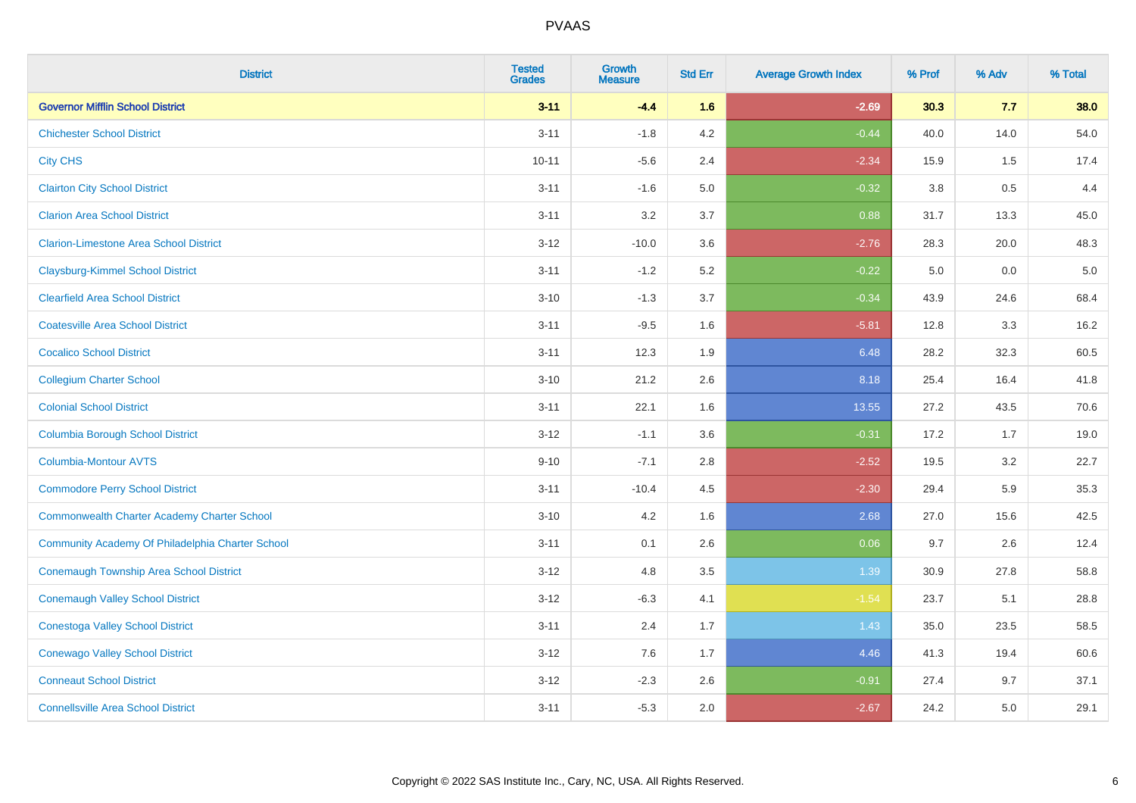| <b>District</b>                                    | <b>Tested</b><br><b>Grades</b> | <b>Growth</b><br><b>Measure</b> | <b>Std Err</b> | <b>Average Growth Index</b> | % Prof  | % Adv | % Total |
|----------------------------------------------------|--------------------------------|---------------------------------|----------------|-----------------------------|---------|-------|---------|
| <b>Governor Mifflin School District</b>            | $3 - 11$                       | $-4.4$                          | 1.6            | $-2.69$                     | 30.3    | 7.7   | 38.0    |
| <b>Chichester School District</b>                  | $3 - 11$                       | $-1.8$                          | 4.2            | $-0.44$                     | 40.0    | 14.0  | 54.0    |
| <b>City CHS</b>                                    | $10 - 11$                      | $-5.6$                          | 2.4            | $-2.34$                     | 15.9    | 1.5   | 17.4    |
| <b>Clairton City School District</b>               | $3 - 11$                       | $-1.6$                          | 5.0            | $-0.32$                     | $3.8\,$ | 0.5   | 4.4     |
| <b>Clarion Area School District</b>                | $3 - 11$                       | 3.2                             | 3.7            | 0.88                        | 31.7    | 13.3  | 45.0    |
| <b>Clarion-Limestone Area School District</b>      | $3 - 12$                       | $-10.0$                         | 3.6            | $-2.76$                     | 28.3    | 20.0  | 48.3    |
| <b>Claysburg-Kimmel School District</b>            | $3 - 11$                       | $-1.2$                          | 5.2            | $-0.22$                     | 5.0     | 0.0   | $5.0$   |
| <b>Clearfield Area School District</b>             | $3 - 10$                       | $-1.3$                          | 3.7            | $-0.34$                     | 43.9    | 24.6  | 68.4    |
| <b>Coatesville Area School District</b>            | $3 - 11$                       | $-9.5$                          | 1.6            | $-5.81$                     | 12.8    | 3.3   | 16.2    |
| <b>Cocalico School District</b>                    | $3 - 11$                       | 12.3                            | 1.9            | 6.48                        | 28.2    | 32.3  | 60.5    |
| <b>Collegium Charter School</b>                    | $3 - 10$                       | 21.2                            | 2.6            | 8.18                        | 25.4    | 16.4  | 41.8    |
| <b>Colonial School District</b>                    | $3 - 11$                       | 22.1                            | 1.6            | 13.55                       | 27.2    | 43.5  | 70.6    |
| <b>Columbia Borough School District</b>            | $3 - 12$                       | $-1.1$                          | 3.6            | $-0.31$                     | 17.2    | 1.7   | 19.0    |
| Columbia-Montour AVTS                              | $9 - 10$                       | $-7.1$                          | 2.8            | $-2.52$                     | 19.5    | 3.2   | 22.7    |
| <b>Commodore Perry School District</b>             | $3 - 11$                       | $-10.4$                         | 4.5            | $-2.30$                     | 29.4    | 5.9   | 35.3    |
| <b>Commonwealth Charter Academy Charter School</b> | $3 - 10$                       | 4.2                             | 1.6            | 2.68                        | 27.0    | 15.6  | 42.5    |
| Community Academy Of Philadelphia Charter School   | $3 - 11$                       | 0.1                             | 2.6            | 0.06                        | 9.7     | 2.6   | 12.4    |
| <b>Conemaugh Township Area School District</b>     | $3 - 12$                       | 4.8                             | 3.5            | 1.39                        | 30.9    | 27.8  | 58.8    |
| <b>Conemaugh Valley School District</b>            | $3 - 12$                       | $-6.3$                          | 4.1            | $-1.54$                     | 23.7    | 5.1   | 28.8    |
| <b>Conestoga Valley School District</b>            | $3 - 11$                       | 2.4                             | 1.7            | 1.43                        | 35.0    | 23.5  | 58.5    |
| <b>Conewago Valley School District</b>             | $3 - 12$                       | 7.6                             | 1.7            | 4.46                        | 41.3    | 19.4  | 60.6    |
| <b>Conneaut School District</b>                    | $3 - 12$                       | $-2.3$                          | 2.6            | $-0.91$                     | 27.4    | 9.7   | 37.1    |
| <b>Connellsville Area School District</b>          | $3 - 11$                       | $-5.3$                          | 2.0            | $-2.67$                     | 24.2    | 5.0   | 29.1    |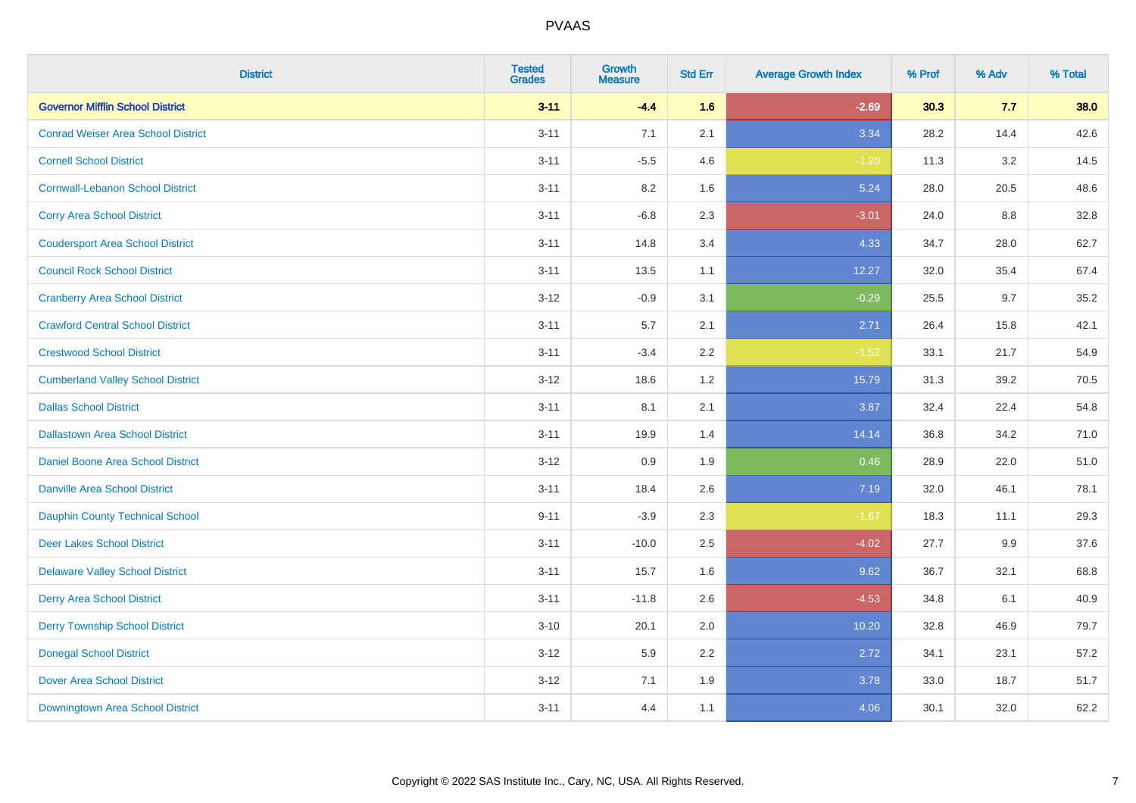| <b>District</b>                           | <b>Tested</b><br><b>Grades</b> | <b>Growth</b><br><b>Measure</b> | <b>Std Err</b> | <b>Average Growth Index</b> | % Prof | % Adv | % Total |
|-------------------------------------------|--------------------------------|---------------------------------|----------------|-----------------------------|--------|-------|---------|
| <b>Governor Mifflin School District</b>   | $3 - 11$                       | $-4.4$                          | 1.6            | $-2.69$                     | 30.3   | 7.7   | 38.0    |
| <b>Conrad Weiser Area School District</b> | $3 - 11$                       | 7.1                             | 2.1            | 3.34                        | 28.2   | 14.4  | 42.6    |
| <b>Cornell School District</b>            | $3 - 11$                       | $-5.5$                          | 4.6            | $-1.20$                     | 11.3   | 3.2   | 14.5    |
| <b>Cornwall-Lebanon School District</b>   | $3 - 11$                       | 8.2                             | 1.6            | 5.24                        | 28.0   | 20.5  | 48.6    |
| <b>Corry Area School District</b>         | $3 - 11$                       | $-6.8$                          | 2.3            | $-3.01$                     | 24.0   | 8.8   | 32.8    |
| <b>Coudersport Area School District</b>   | $3 - 11$                       | 14.8                            | 3.4            | 4.33                        | 34.7   | 28.0  | 62.7    |
| <b>Council Rock School District</b>       | $3 - 11$                       | 13.5                            | 1.1            | 12.27                       | 32.0   | 35.4  | 67.4    |
| <b>Cranberry Area School District</b>     | $3 - 12$                       | $-0.9$                          | 3.1            | $-0.29$                     | 25.5   | 9.7   | 35.2    |
| <b>Crawford Central School District</b>   | $3 - 11$                       | 5.7                             | 2.1            | 2.71                        | 26.4   | 15.8  | 42.1    |
| <b>Crestwood School District</b>          | $3 - 11$                       | $-3.4$                          | 2.2            | $-1.52$                     | 33.1   | 21.7  | 54.9    |
| <b>Cumberland Valley School District</b>  | $3 - 12$                       | 18.6                            | 1.2            | 15.79                       | 31.3   | 39.2  | 70.5    |
| <b>Dallas School District</b>             | $3 - 11$                       | 8.1                             | 2.1            | 3.87                        | 32.4   | 22.4  | 54.8    |
| <b>Dallastown Area School District</b>    | $3 - 11$                       | 19.9                            | 1.4            | 14.14                       | 36.8   | 34.2  | 71.0    |
| <b>Daniel Boone Area School District</b>  | $3 - 12$                       | 0.9                             | 1.9            | 0.46                        | 28.9   | 22.0  | 51.0    |
| <b>Danville Area School District</b>      | $3 - 11$                       | 18.4                            | 2.6            | 7.19                        | 32.0   | 46.1  | 78.1    |
| <b>Dauphin County Technical School</b>    | $9 - 11$                       | $-3.9$                          | 2.3            | $-1.67$                     | 18.3   | 11.1  | 29.3    |
| <b>Deer Lakes School District</b>         | $3 - 11$                       | $-10.0$                         | 2.5            | $-4.02$                     | 27.7   | 9.9   | 37.6    |
| <b>Delaware Valley School District</b>    | $3 - 11$                       | 15.7                            | 1.6            | 9.62                        | 36.7   | 32.1  | 68.8    |
| <b>Derry Area School District</b>         | $3 - 11$                       | $-11.8$                         | 2.6            | $-4.53$                     | 34.8   | 6.1   | 40.9    |
| <b>Derry Township School District</b>     | $3 - 10$                       | 20.1                            | 2.0            | 10.20                       | 32.8   | 46.9  | 79.7    |
| <b>Donegal School District</b>            | $3 - 12$                       | 5.9                             | 2.2            | 2.72                        | 34.1   | 23.1  | 57.2    |
| <b>Dover Area School District</b>         | $3 - 12$                       | 7.1                             | 1.9            | 3.78                        | 33.0   | 18.7  | 51.7    |
| Downingtown Area School District          | $3 - 11$                       | 4.4                             | 1.1            | 4.06                        | 30.1   | 32.0  | 62.2    |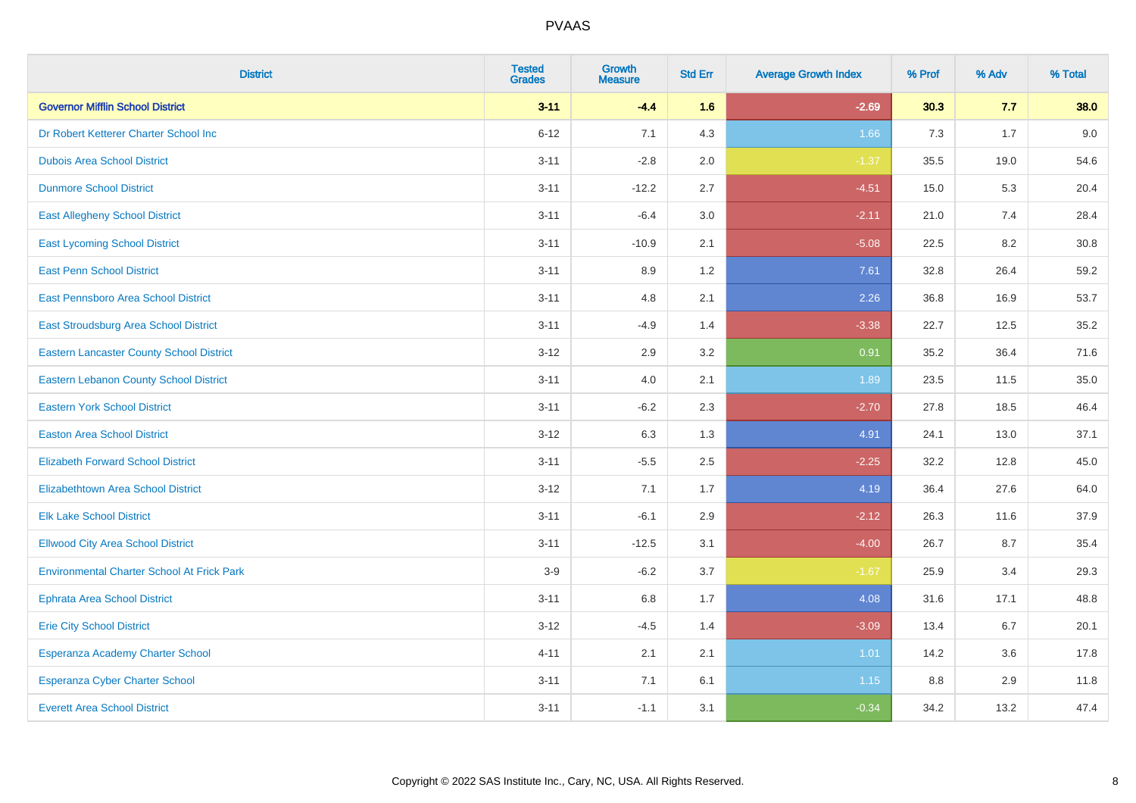| <b>District</b>                                   | <b>Tested</b><br><b>Grades</b> | <b>Growth</b><br><b>Measure</b> | <b>Std Err</b> | <b>Average Growth Index</b> | % Prof | % Adv | % Total |
|---------------------------------------------------|--------------------------------|---------------------------------|----------------|-----------------------------|--------|-------|---------|
| <b>Governor Mifflin School District</b>           | $3 - 11$                       | $-4.4$                          | 1.6            | $-2.69$                     | 30.3   | 7.7   | 38.0    |
| Dr Robert Ketterer Charter School Inc             | $6 - 12$                       | 7.1                             | 4.3            | 1.66                        | 7.3    | 1.7   | 9.0     |
| <b>Dubois Area School District</b>                | $3 - 11$                       | $-2.8$                          | 2.0            | $-1.37$                     | 35.5   | 19.0  | 54.6    |
| <b>Dunmore School District</b>                    | $3 - 11$                       | $-12.2$                         | 2.7            | $-4.51$                     | 15.0   | 5.3   | 20.4    |
| <b>East Allegheny School District</b>             | $3 - 11$                       | $-6.4$                          | 3.0            | $-2.11$                     | 21.0   | 7.4   | 28.4    |
| <b>East Lycoming School District</b>              | $3 - 11$                       | $-10.9$                         | 2.1            | $-5.08$                     | 22.5   | 8.2   | 30.8    |
| <b>East Penn School District</b>                  | $3 - 11$                       | 8.9                             | 1.2            | 7.61                        | 32.8   | 26.4  | 59.2    |
| East Pennsboro Area School District               | $3 - 11$                       | 4.8                             | 2.1            | 2.26                        | 36.8   | 16.9  | 53.7    |
| East Stroudsburg Area School District             | $3 - 11$                       | $-4.9$                          | 1.4            | $-3.38$                     | 22.7   | 12.5  | 35.2    |
| <b>Eastern Lancaster County School District</b>   | $3 - 12$                       | 2.9                             | 3.2            | 0.91                        | 35.2   | 36.4  | 71.6    |
| <b>Eastern Lebanon County School District</b>     | $3 - 11$                       | 4.0                             | 2.1            | 1.89                        | 23.5   | 11.5  | 35.0    |
| <b>Eastern York School District</b>               | $3 - 11$                       | $-6.2$                          | 2.3            | $-2.70$                     | 27.8   | 18.5  | 46.4    |
| <b>Easton Area School District</b>                | $3 - 12$                       | 6.3                             | 1.3            | 4.91                        | 24.1   | 13.0  | 37.1    |
| <b>Elizabeth Forward School District</b>          | $3 - 11$                       | $-5.5$                          | 2.5            | $-2.25$                     | 32.2   | 12.8  | 45.0    |
| <b>Elizabethtown Area School District</b>         | $3 - 12$                       | 7.1                             | 1.7            | 4.19                        | 36.4   | 27.6  | 64.0    |
| <b>Elk Lake School District</b>                   | $3 - 11$                       | $-6.1$                          | 2.9            | $-2.12$                     | 26.3   | 11.6  | 37.9    |
| <b>Ellwood City Area School District</b>          | $3 - 11$                       | $-12.5$                         | 3.1            | $-4.00$                     | 26.7   | 8.7   | 35.4    |
| <b>Environmental Charter School At Frick Park</b> | $3-9$                          | $-6.2$                          | 3.7            | $-1.67$                     | 25.9   | 3.4   | 29.3    |
| <b>Ephrata Area School District</b>               | $3 - 11$                       | 6.8                             | 1.7            | 4.08                        | 31.6   | 17.1  | 48.8    |
| <b>Erie City School District</b>                  | $3 - 12$                       | $-4.5$                          | 1.4            | $-3.09$                     | 13.4   | 6.7   | 20.1    |
| Esperanza Academy Charter School                  | $4 - 11$                       | 2.1                             | 2.1            | 1.01                        | 14.2   | 3.6   | 17.8    |
| <b>Esperanza Cyber Charter School</b>             | $3 - 11$                       | 7.1                             | 6.1            | 1.15                        | 8.8    | 2.9   | 11.8    |
| <b>Everett Area School District</b>               | $3 - 11$                       | $-1.1$                          | 3.1            | $-0.34$                     | 34.2   | 13.2  | 47.4    |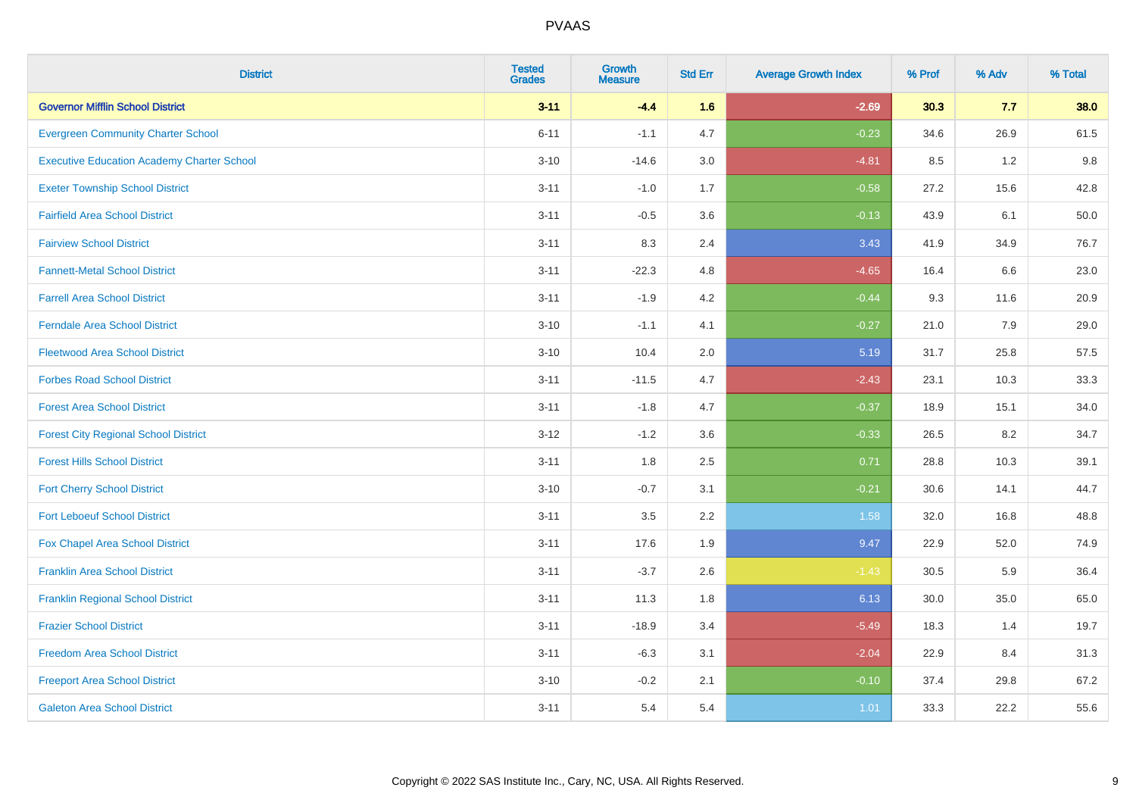| <b>District</b>                                   | <b>Tested</b><br><b>Grades</b> | <b>Growth</b><br><b>Measure</b> | <b>Std Err</b> | <b>Average Growth Index</b> | % Prof | % Adv   | % Total |
|---------------------------------------------------|--------------------------------|---------------------------------|----------------|-----------------------------|--------|---------|---------|
| <b>Governor Mifflin School District</b>           | $3 - 11$                       | $-4.4$                          | 1.6            | $-2.69$                     | 30.3   | 7.7     | 38.0    |
| <b>Evergreen Community Charter School</b>         | $6 - 11$                       | $-1.1$                          | 4.7            | $-0.23$                     | 34.6   | 26.9    | 61.5    |
| <b>Executive Education Academy Charter School</b> | $3 - 10$                       | $-14.6$                         | 3.0            | $-4.81$                     | 8.5    | 1.2     | 9.8     |
| <b>Exeter Township School District</b>            | $3 - 11$                       | $-1.0$                          | 1.7            | $-0.58$                     | 27.2   | 15.6    | 42.8    |
| <b>Fairfield Area School District</b>             | $3 - 11$                       | $-0.5$                          | 3.6            | $-0.13$                     | 43.9   | 6.1     | 50.0    |
| <b>Fairview School District</b>                   | $3 - 11$                       | 8.3                             | 2.4            | 3.43                        | 41.9   | 34.9    | 76.7    |
| <b>Fannett-Metal School District</b>              | $3 - 11$                       | $-22.3$                         | 4.8            | $-4.65$                     | 16.4   | 6.6     | 23.0    |
| <b>Farrell Area School District</b>               | $3 - 11$                       | $-1.9$                          | 4.2            | $-0.44$                     | 9.3    | 11.6    | 20.9    |
| <b>Ferndale Area School District</b>              | $3 - 10$                       | $-1.1$                          | 4.1            | $-0.27$                     | 21.0   | 7.9     | 29.0    |
| <b>Fleetwood Area School District</b>             | $3 - 10$                       | 10.4                            | 2.0            | 5.19                        | 31.7   | 25.8    | 57.5    |
| <b>Forbes Road School District</b>                | $3 - 11$                       | $-11.5$                         | 4.7            | $-2.43$                     | 23.1   | 10.3    | 33.3    |
| <b>Forest Area School District</b>                | $3 - 11$                       | $-1.8$                          | 4.7            | $-0.37$                     | 18.9   | 15.1    | 34.0    |
| <b>Forest City Regional School District</b>       | $3 - 12$                       | $-1.2$                          | 3.6            | $-0.33$                     | 26.5   | $8.2\,$ | 34.7    |
| <b>Forest Hills School District</b>               | $3 - 11$                       | 1.8                             | 2.5            | 0.71                        | 28.8   | 10.3    | 39.1    |
| <b>Fort Cherry School District</b>                | $3 - 10$                       | $-0.7$                          | 3.1            | $-0.21$                     | 30.6   | 14.1    | 44.7    |
| <b>Fort Leboeuf School District</b>               | $3 - 11$                       | 3.5                             | 2.2            | 1.58                        | 32.0   | 16.8    | 48.8    |
| Fox Chapel Area School District                   | $3 - 11$                       | 17.6                            | 1.9            | 9.47                        | 22.9   | 52.0    | 74.9    |
| <b>Franklin Area School District</b>              | $3 - 11$                       | $-3.7$                          | 2.6            | $-1.43$                     | 30.5   | 5.9     | 36.4    |
| <b>Franklin Regional School District</b>          | $3 - 11$                       | 11.3                            | 1.8            | 6.13                        | 30.0   | 35.0    | 65.0    |
| <b>Frazier School District</b>                    | $3 - 11$                       | $-18.9$                         | 3.4            | $-5.49$                     | 18.3   | 1.4     | 19.7    |
| <b>Freedom Area School District</b>               | $3 - 11$                       | $-6.3$                          | 3.1            | $-2.04$                     | 22.9   | 8.4     | 31.3    |
| <b>Freeport Area School District</b>              | $3 - 10$                       | $-0.2$                          | 2.1            | $-0.10$                     | 37.4   | 29.8    | 67.2    |
| <b>Galeton Area School District</b>               | $3 - 11$                       | 5.4                             | 5.4            | 1.01                        | 33.3   | 22.2    | 55.6    |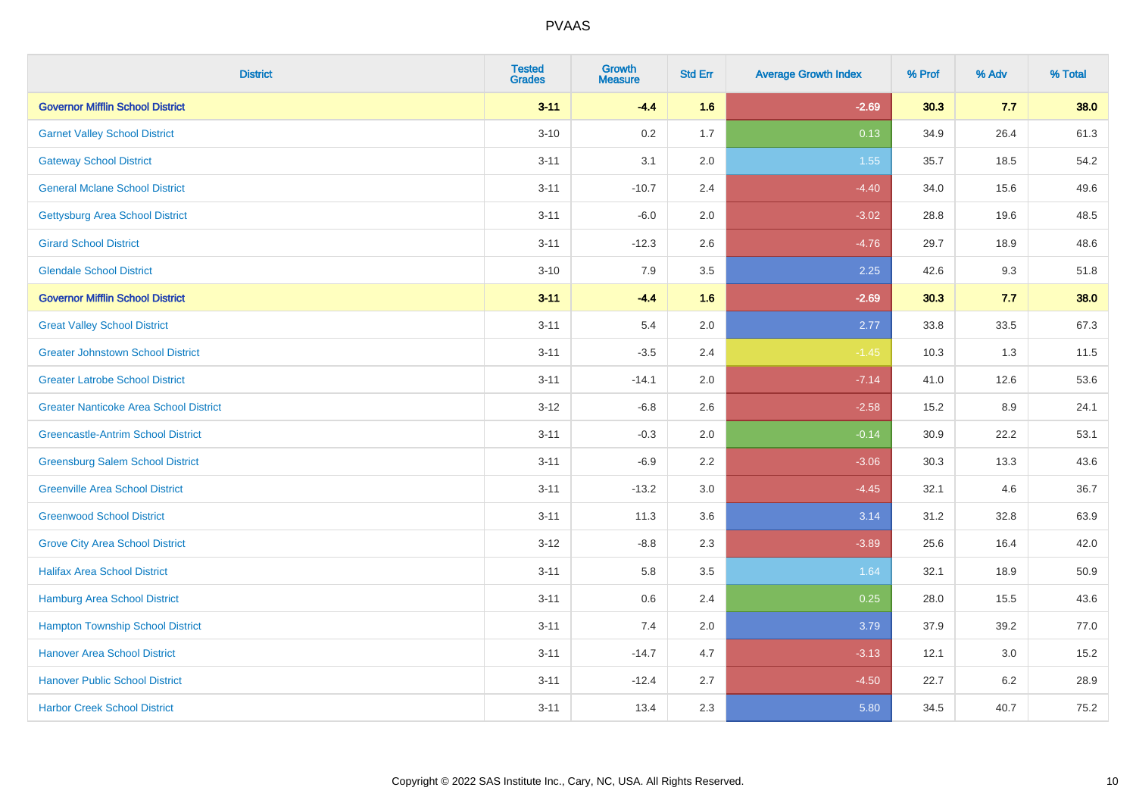| <b>District</b>                               | <b>Tested</b><br><b>Grades</b> | Growth<br><b>Measure</b> | <b>Std Err</b> | <b>Average Growth Index</b> | % Prof | % Adv   | % Total |
|-----------------------------------------------|--------------------------------|--------------------------|----------------|-----------------------------|--------|---------|---------|
| <b>Governor Mifflin School District</b>       | $3 - 11$                       | $-4.4$                   | 1.6            | $-2.69$                     | 30.3   | 7.7     | 38.0    |
| <b>Garnet Valley School District</b>          | $3 - 10$                       | 0.2                      | 1.7            | 0.13                        | 34.9   | 26.4    | 61.3    |
| <b>Gateway School District</b>                | $3 - 11$                       | 3.1                      | 2.0            | 1.55                        | 35.7   | 18.5    | 54.2    |
| <b>General Mclane School District</b>         | $3 - 11$                       | $-10.7$                  | 2.4            | $-4.40$                     | 34.0   | 15.6    | 49.6    |
| <b>Gettysburg Area School District</b>        | $3 - 11$                       | $-6.0$                   | 2.0            | $-3.02$                     | 28.8   | 19.6    | 48.5    |
| <b>Girard School District</b>                 | $3 - 11$                       | $-12.3$                  | 2.6            | $-4.76$                     | 29.7   | 18.9    | 48.6    |
| <b>Glendale School District</b>               | $3 - 10$                       | 7.9                      | 3.5            | 2.25                        | 42.6   | 9.3     | 51.8    |
| <b>Governor Mifflin School District</b>       | $3 - 11$                       | $-4.4$                   | 1.6            | $-2.69$                     | 30.3   | 7.7     | 38.0    |
| <b>Great Valley School District</b>           | $3 - 11$                       | 5.4                      | 2.0            | 2.77                        | 33.8   | 33.5    | 67.3    |
| <b>Greater Johnstown School District</b>      | $3 - 11$                       | $-3.5$                   | 2.4            | $-1.45$                     | 10.3   | 1.3     | 11.5    |
| <b>Greater Latrobe School District</b>        | $3 - 11$                       | $-14.1$                  | 2.0            | $-7.14$                     | 41.0   | 12.6    | 53.6    |
| <b>Greater Nanticoke Area School District</b> | $3-12$                         | $-6.8$                   | 2.6            | $-2.58$                     | 15.2   | 8.9     | 24.1    |
| <b>Greencastle-Antrim School District</b>     | $3 - 11$                       | $-0.3$                   | 2.0            | $-0.14$                     | 30.9   | 22.2    | 53.1    |
| <b>Greensburg Salem School District</b>       | $3 - 11$                       | $-6.9$                   | 2.2            | $-3.06$                     | 30.3   | 13.3    | 43.6    |
| <b>Greenville Area School District</b>        | $3 - 11$                       | $-13.2$                  | $3.0\,$        | $-4.45$                     | 32.1   | 4.6     | 36.7    |
| <b>Greenwood School District</b>              | $3 - 11$                       | 11.3                     | 3.6            | 3.14                        | 31.2   | 32.8    | 63.9    |
| <b>Grove City Area School District</b>        | $3 - 12$                       | $-8.8$                   | 2.3            | $-3.89$                     | 25.6   | 16.4    | 42.0    |
| <b>Halifax Area School District</b>           | $3 - 11$                       | 5.8                      | 3.5            | 1.64                        | 32.1   | 18.9    | 50.9    |
| <b>Hamburg Area School District</b>           | $3 - 11$                       | 0.6                      | 2.4            | 0.25                        | 28.0   | 15.5    | 43.6    |
| <b>Hampton Township School District</b>       | $3 - 11$                       | 7.4                      | 2.0            | 3.79                        | 37.9   | 39.2    | 77.0    |
| <b>Hanover Area School District</b>           | $3 - 11$                       | $-14.7$                  | 4.7            | $-3.13$                     | 12.1   | 3.0     | 15.2    |
| <b>Hanover Public School District</b>         | $3 - 11$                       | $-12.4$                  | 2.7            | $-4.50$                     | 22.7   | $6.2\,$ | 28.9    |
| <b>Harbor Creek School District</b>           | $3 - 11$                       | 13.4                     | 2.3            | 5.80                        | 34.5   | 40.7    | 75.2    |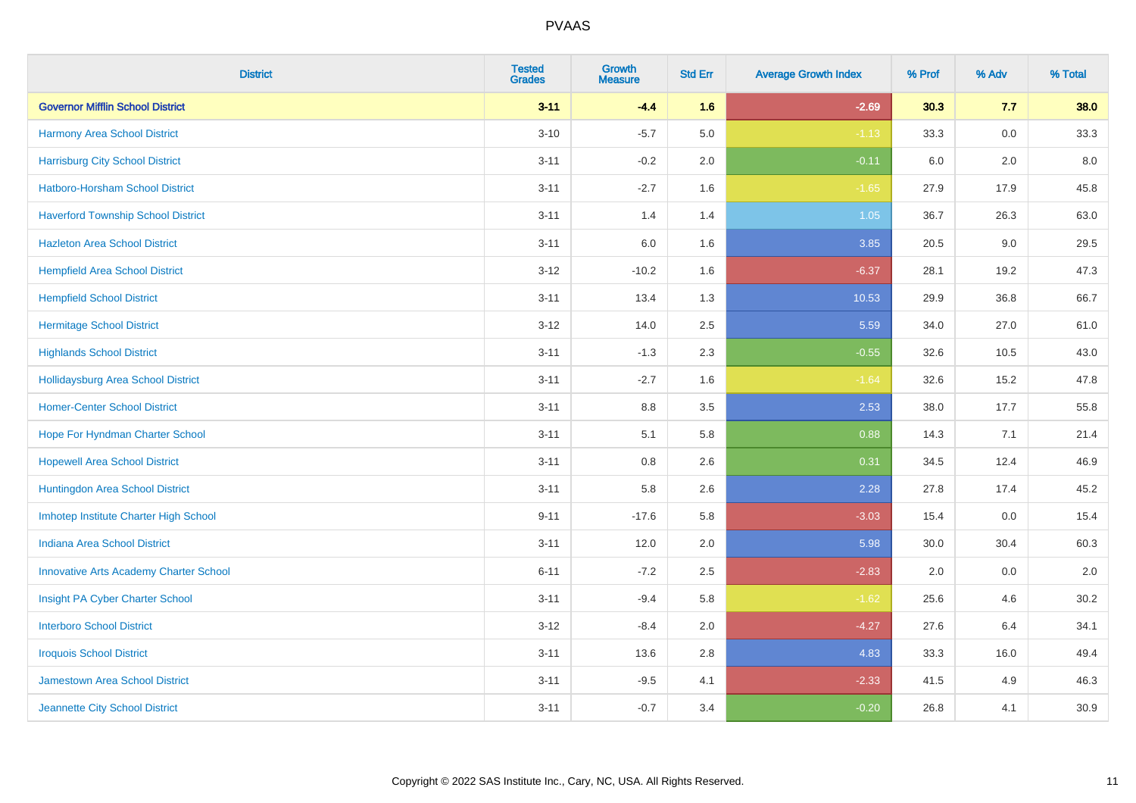| <b>District</b>                               | <b>Tested</b><br><b>Grades</b> | <b>Growth</b><br><b>Measure</b> | <b>Std Err</b> | <b>Average Growth Index</b> | % Prof | % Adv   | % Total |
|-----------------------------------------------|--------------------------------|---------------------------------|----------------|-----------------------------|--------|---------|---------|
| <b>Governor Mifflin School District</b>       | $3 - 11$                       | $-4.4$                          | 1.6            | $-2.69$                     | 30.3   | 7.7     | 38.0    |
| Harmony Area School District                  | $3 - 10$                       | $-5.7$                          | 5.0            | $-1.13$                     | 33.3   | $0.0\,$ | 33.3    |
| <b>Harrisburg City School District</b>        | $3 - 11$                       | $-0.2$                          | 2.0            | $-0.11$                     | 6.0    | 2.0     | 8.0     |
| Hatboro-Horsham School District               | $3 - 11$                       | $-2.7$                          | 1.6            | $-1.65$                     | 27.9   | 17.9    | 45.8    |
| <b>Haverford Township School District</b>     | $3 - 11$                       | 1.4                             | 1.4            | 1.05                        | 36.7   | 26.3    | 63.0    |
| <b>Hazleton Area School District</b>          | $3 - 11$                       | 6.0                             | 1.6            | 3.85                        | 20.5   | 9.0     | 29.5    |
| <b>Hempfield Area School District</b>         | $3 - 12$                       | $-10.2$                         | 1.6            | $-6.37$                     | 28.1   | 19.2    | 47.3    |
| <b>Hempfield School District</b>              | $3 - 11$                       | 13.4                            | 1.3            | 10.53                       | 29.9   | 36.8    | 66.7    |
| <b>Hermitage School District</b>              | $3 - 12$                       | 14.0                            | 2.5            | 5.59                        | 34.0   | 27.0    | 61.0    |
| <b>Highlands School District</b>              | $3 - 11$                       | $-1.3$                          | 2.3            | $-0.55$                     | 32.6   | 10.5    | 43.0    |
| <b>Hollidaysburg Area School District</b>     | $3 - 11$                       | $-2.7$                          | 1.6            | $-1.64$                     | 32.6   | 15.2    | 47.8    |
| <b>Homer-Center School District</b>           | $3 - 11$                       | $8.8\,$                         | 3.5            | 2.53                        | 38.0   | 17.7    | 55.8    |
| Hope For Hyndman Charter School               | $3 - 11$                       | 5.1                             | 5.8            | 0.88                        | 14.3   | 7.1     | 21.4    |
| <b>Hopewell Area School District</b>          | $3 - 11$                       | 0.8                             | 2.6            | 0.31                        | 34.5   | 12.4    | 46.9    |
| Huntingdon Area School District               | $3 - 11$                       | 5.8                             | 2.6            | 2.28                        | 27.8   | 17.4    | 45.2    |
| Imhotep Institute Charter High School         | $9 - 11$                       | $-17.6$                         | 5.8            | $-3.03$                     | 15.4   | 0.0     | 15.4    |
| <b>Indiana Area School District</b>           | $3 - 11$                       | 12.0                            | 2.0            | 5.98                        | 30.0   | 30.4    | 60.3    |
| <b>Innovative Arts Academy Charter School</b> | $6 - 11$                       | $-7.2$                          | 2.5            | $-2.83$                     | 2.0    | 0.0     | $2.0\,$ |
| Insight PA Cyber Charter School               | $3 - 11$                       | $-9.4$                          | 5.8            | $-1.62$                     | 25.6   | 4.6     | 30.2    |
| <b>Interboro School District</b>              | $3 - 12$                       | $-8.4$                          | 2.0            | $-4.27$                     | 27.6   | 6.4     | 34.1    |
| <b>Iroquois School District</b>               | $3 - 11$                       | 13.6                            | 2.8            | 4.83                        | 33.3   | 16.0    | 49.4    |
| <b>Jamestown Area School District</b>         | $3 - 11$                       | $-9.5$                          | 4.1            | $-2.33$                     | 41.5   | 4.9     | 46.3    |
| Jeannette City School District                | $3 - 11$                       | $-0.7$                          | 3.4            | $-0.20$                     | 26.8   | 4.1     | 30.9    |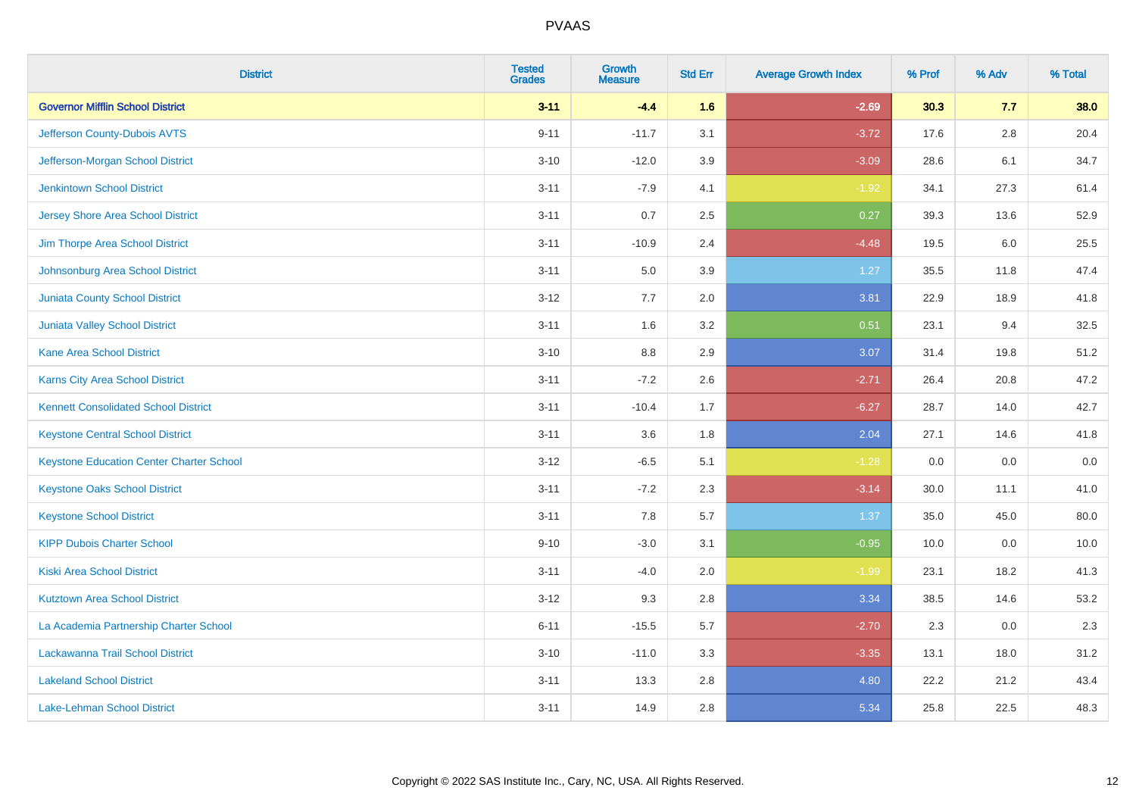| <b>District</b>                                 | <b>Tested</b><br><b>Grades</b> | <b>Growth</b><br><b>Measure</b> | <b>Std Err</b> | <b>Average Growth Index</b> | % Prof | % Adv   | % Total |
|-------------------------------------------------|--------------------------------|---------------------------------|----------------|-----------------------------|--------|---------|---------|
| <b>Governor Mifflin School District</b>         | $3 - 11$                       | $-4.4$                          | 1.6            | $-2.69$                     | 30.3   | 7.7     | 38.0    |
| Jefferson County-Dubois AVTS                    | $9 - 11$                       | $-11.7$                         | 3.1            | $-3.72$                     | 17.6   | $2.8\,$ | 20.4    |
| Jefferson-Morgan School District                | $3 - 10$                       | $-12.0$                         | 3.9            | $-3.09$                     | 28.6   | 6.1     | 34.7    |
| <b>Jenkintown School District</b>               | $3 - 11$                       | $-7.9$                          | 4.1            | $-1.92$                     | 34.1   | 27.3    | 61.4    |
| <b>Jersey Shore Area School District</b>        | $3 - 11$                       | 0.7                             | 2.5            | 0.27                        | 39.3   | 13.6    | 52.9    |
| Jim Thorpe Area School District                 | $3 - 11$                       | $-10.9$                         | 2.4            | $-4.48$                     | 19.5   | 6.0     | 25.5    |
| Johnsonburg Area School District                | $3 - 11$                       | 5.0                             | 3.9            | 1.27                        | 35.5   | 11.8    | 47.4    |
| <b>Juniata County School District</b>           | $3 - 12$                       | 7.7                             | 2.0            | 3.81                        | 22.9   | 18.9    | 41.8    |
| <b>Juniata Valley School District</b>           | $3 - 11$                       | 1.6                             | 3.2            | 0.51                        | 23.1   | 9.4     | 32.5    |
| <b>Kane Area School District</b>                | $3 - 10$                       | 8.8                             | 2.9            | 3.07                        | 31.4   | 19.8    | 51.2    |
| <b>Karns City Area School District</b>          | $3 - 11$                       | $-7.2$                          | 2.6            | $-2.71$                     | 26.4   | 20.8    | 47.2    |
| <b>Kennett Consolidated School District</b>     | $3 - 11$                       | $-10.4$                         | 1.7            | $-6.27$                     | 28.7   | 14.0    | 42.7    |
| <b>Keystone Central School District</b>         | $3 - 11$                       | 3.6                             | 1.8            | 2.04                        | 27.1   | 14.6    | 41.8    |
| <b>Keystone Education Center Charter School</b> | $3 - 12$                       | $-6.5$                          | 5.1            | $-1.28$                     | 0.0    | 0.0     | $0.0\,$ |
| <b>Keystone Oaks School District</b>            | $3 - 11$                       | $-7.2$                          | 2.3            | $-3.14$                     | 30.0   | 11.1    | 41.0    |
| <b>Keystone School District</b>                 | $3 - 11$                       | 7.8                             | 5.7            | 1.37                        | 35.0   | 45.0    | 80.0    |
| <b>KIPP Dubois Charter School</b>               | $9 - 10$                       | $-3.0$                          | 3.1            | $-0.95$                     | 10.0   | 0.0     | 10.0    |
| <b>Kiski Area School District</b>               | $3 - 11$                       | $-4.0$                          | 2.0            | $-1.99$                     | 23.1   | 18.2    | 41.3    |
| <b>Kutztown Area School District</b>            | $3 - 12$                       | 9.3                             | 2.8            | 3.34                        | 38.5   | 14.6    | 53.2    |
| La Academia Partnership Charter School          | $6 - 11$                       | $-15.5$                         | 5.7            | $-2.70$                     | 2.3    | 0.0     | 2.3     |
| Lackawanna Trail School District                | $3 - 10$                       | $-11.0$                         | 3.3            | $-3.35$                     | 13.1   | 18.0    | 31.2    |
| <b>Lakeland School District</b>                 | $3 - 11$                       | 13.3                            | 2.8            | 4.80                        | 22.2   | 21.2    | 43.4    |
| <b>Lake-Lehman School District</b>              | $3 - 11$                       | 14.9                            | 2.8            | 5.34                        | 25.8   | 22.5    | 48.3    |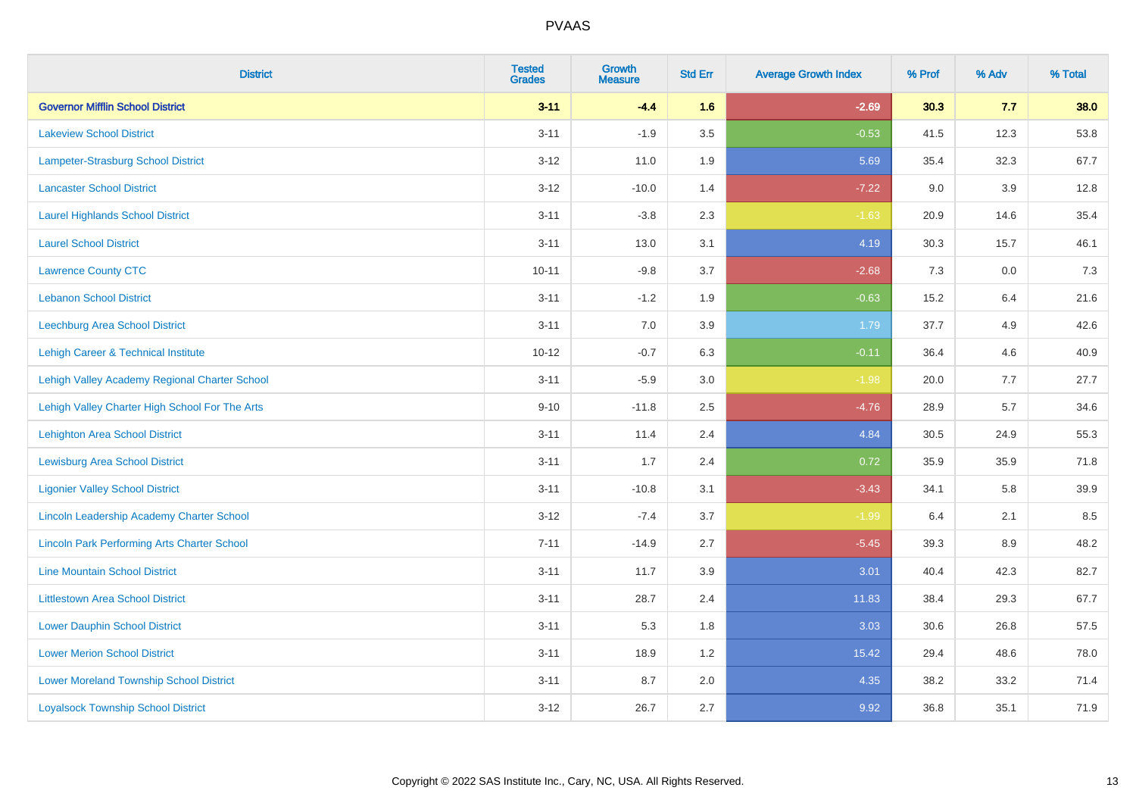| <b>District</b>                                    | <b>Tested</b><br><b>Grades</b> | <b>Growth</b><br><b>Measure</b> | <b>Std Err</b> | <b>Average Growth Index</b> | % Prof | % Adv | % Total |
|----------------------------------------------------|--------------------------------|---------------------------------|----------------|-----------------------------|--------|-------|---------|
| <b>Governor Mifflin School District</b>            | $3 - 11$                       | $-4.4$                          | 1.6            | $-2.69$                     | 30.3   | 7.7   | 38.0    |
| <b>Lakeview School District</b>                    | $3 - 11$                       | $-1.9$                          | 3.5            | $-0.53$                     | 41.5   | 12.3  | 53.8    |
| <b>Lampeter-Strasburg School District</b>          | $3 - 12$                       | 11.0                            | 1.9            | 5.69                        | 35.4   | 32.3  | 67.7    |
| <b>Lancaster School District</b>                   | $3 - 12$                       | $-10.0$                         | 1.4            | $-7.22$                     | 9.0    | 3.9   | 12.8    |
| <b>Laurel Highlands School District</b>            | $3 - 11$                       | $-3.8$                          | 2.3            | $-1.63$                     | 20.9   | 14.6  | 35.4    |
| <b>Laurel School District</b>                      | $3 - 11$                       | 13.0                            | 3.1            | 4.19                        | 30.3   | 15.7  | 46.1    |
| <b>Lawrence County CTC</b>                         | $10 - 11$                      | $-9.8$                          | 3.7            | $-2.68$                     | 7.3    | 0.0   | 7.3     |
| <b>Lebanon School District</b>                     | $3 - 11$                       | $-1.2$                          | 1.9            | $-0.63$                     | 15.2   | 6.4   | 21.6    |
| Leechburg Area School District                     | $3 - 11$                       | 7.0                             | 3.9            | 1.79                        | 37.7   | 4.9   | 42.6    |
| Lehigh Career & Technical Institute                | $10 - 12$                      | $-0.7$                          | 6.3            | $-0.11$                     | 36.4   | 4.6   | 40.9    |
| Lehigh Valley Academy Regional Charter School      | $3 - 11$                       | $-5.9$                          | 3.0            | $-1.98$                     | 20.0   | 7.7   | 27.7    |
| Lehigh Valley Charter High School For The Arts     | $9 - 10$                       | $-11.8$                         | 2.5            | $-4.76$                     | 28.9   | 5.7   | 34.6    |
| <b>Lehighton Area School District</b>              | $3 - 11$                       | 11.4                            | 2.4            | 4.84                        | 30.5   | 24.9  | 55.3    |
| <b>Lewisburg Area School District</b>              | $3 - 11$                       | 1.7                             | 2.4            | 0.72                        | 35.9   | 35.9  | 71.8    |
| <b>Ligonier Valley School District</b>             | $3 - 11$                       | $-10.8$                         | 3.1            | $-3.43$                     | 34.1   | 5.8   | 39.9    |
| <b>Lincoln Leadership Academy Charter School</b>   | $3 - 12$                       | $-7.4$                          | 3.7            | $-1.99$                     | 6.4    | 2.1   | 8.5     |
| <b>Lincoln Park Performing Arts Charter School</b> | $7 - 11$                       | $-14.9$                         | 2.7            | $-5.45$                     | 39.3   | 8.9   | 48.2    |
| <b>Line Mountain School District</b>               | $3 - 11$                       | 11.7                            | 3.9            | 3.01                        | 40.4   | 42.3  | 82.7    |
| <b>Littlestown Area School District</b>            | $3 - 11$                       | 28.7                            | 2.4            | 11.83                       | 38.4   | 29.3  | 67.7    |
| <b>Lower Dauphin School District</b>               | $3 - 11$                       | 5.3                             | 1.8            | 3.03                        | 30.6   | 26.8  | 57.5    |
| <b>Lower Merion School District</b>                | $3 - 11$                       | 18.9                            | 1.2            | 15.42                       | 29.4   | 48.6  | 78.0    |
| <b>Lower Moreland Township School District</b>     | $3 - 11$                       | 8.7                             | 2.0            | 4.35                        | 38.2   | 33.2  | 71.4    |
| <b>Loyalsock Township School District</b>          | $3 - 12$                       | 26.7                            | 2.7            | 9.92                        | 36.8   | 35.1  | 71.9    |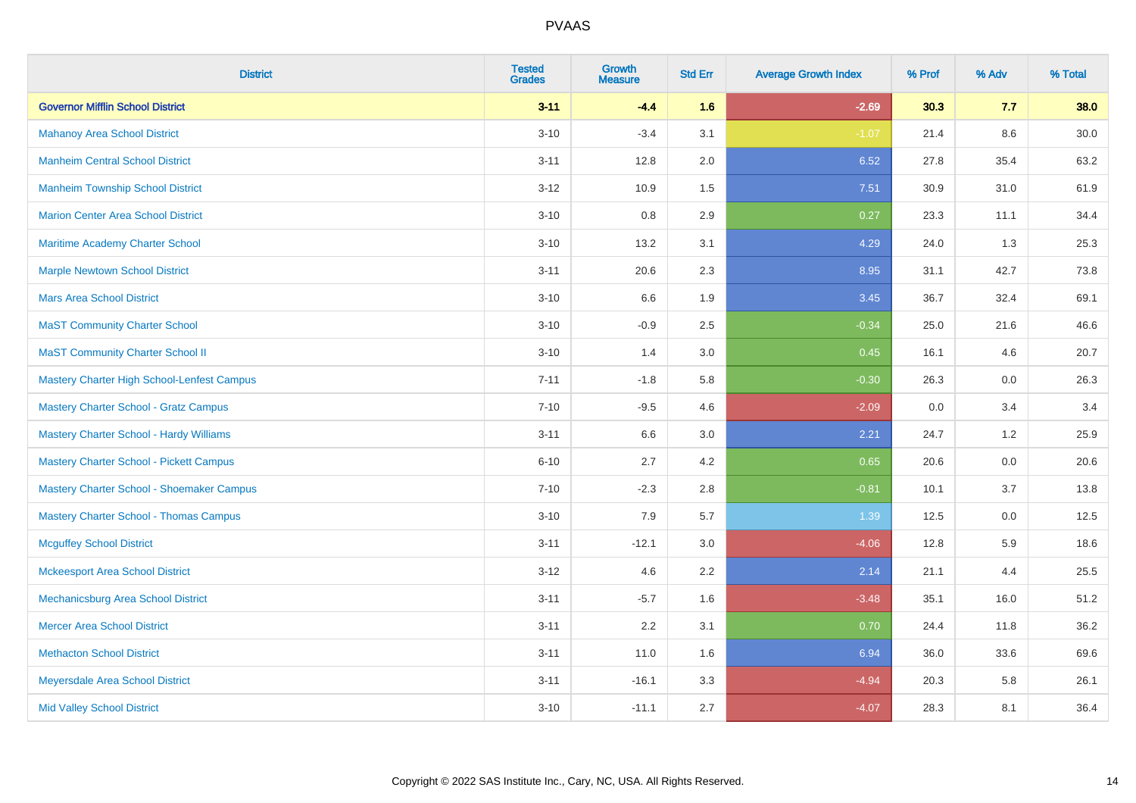| <b>District</b>                                | <b>Tested</b><br><b>Grades</b> | Growth<br><b>Measure</b> | <b>Std Err</b> | <b>Average Growth Index</b> | % Prof | % Adv | % Total |
|------------------------------------------------|--------------------------------|--------------------------|----------------|-----------------------------|--------|-------|---------|
| <b>Governor Mifflin School District</b>        | $3 - 11$                       | $-4.4$                   | 1.6            | $-2.69$                     | 30.3   | 7.7   | 38.0    |
| <b>Mahanoy Area School District</b>            | $3 - 10$                       | $-3.4$                   | 3.1            | $-1.07$                     | 21.4   | 8.6   | 30.0    |
| <b>Manheim Central School District</b>         | $3 - 11$                       | 12.8                     | 2.0            | 6.52                        | 27.8   | 35.4  | 63.2    |
| <b>Manheim Township School District</b>        | $3 - 12$                       | 10.9                     | 1.5            | 7.51                        | 30.9   | 31.0  | 61.9    |
| <b>Marion Center Area School District</b>      | $3 - 10$                       | 0.8                      | 2.9            | 0.27                        | 23.3   | 11.1  | 34.4    |
| Maritime Academy Charter School                | $3 - 10$                       | 13.2                     | 3.1            | 4.29                        | 24.0   | 1.3   | 25.3    |
| <b>Marple Newtown School District</b>          | $3 - 11$                       | 20.6                     | 2.3            | 8.95                        | 31.1   | 42.7  | 73.8    |
| <b>Mars Area School District</b>               | $3 - 10$                       | 6.6                      | 1.9            | 3.45                        | 36.7   | 32.4  | 69.1    |
| <b>MaST Community Charter School</b>           | $3 - 10$                       | $-0.9$                   | 2.5            | $-0.34$                     | 25.0   | 21.6  | 46.6    |
| <b>MaST Community Charter School II</b>        | $3 - 10$                       | 1.4                      | 3.0            | 0.45                        | 16.1   | 4.6   | 20.7    |
| Mastery Charter High School-Lenfest Campus     | $7 - 11$                       | $-1.8$                   | 5.8            | $-0.30$                     | 26.3   | 0.0   | 26.3    |
| <b>Mastery Charter School - Gratz Campus</b>   | $7 - 10$                       | $-9.5$                   | 4.6            | $-2.09$                     | 0.0    | 3.4   | 3.4     |
| <b>Mastery Charter School - Hardy Williams</b> | $3 - 11$                       | 6.6                      | 3.0            | 2.21                        | 24.7   | 1.2   | 25.9    |
| <b>Mastery Charter School - Pickett Campus</b> | $6 - 10$                       | 2.7                      | 4.2            | 0.65                        | 20.6   | 0.0   | 20.6    |
| Mastery Charter School - Shoemaker Campus      | $7 - 10$                       | $-2.3$                   | 2.8            | $-0.81$                     | 10.1   | 3.7   | 13.8    |
| <b>Mastery Charter School - Thomas Campus</b>  | $3 - 10$                       | 7.9                      | 5.7            | 1.39                        | 12.5   | 0.0   | 12.5    |
| <b>Mcguffey School District</b>                | $3 - 11$                       | $-12.1$                  | 3.0            | $-4.06$                     | 12.8   | 5.9   | 18.6    |
| <b>Mckeesport Area School District</b>         | $3 - 12$                       | 4.6                      | 2.2            | 2.14                        | 21.1   | 4.4   | 25.5    |
| Mechanicsburg Area School District             | $3 - 11$                       | $-5.7$                   | 1.6            | $-3.48$                     | 35.1   | 16.0  | 51.2    |
| <b>Mercer Area School District</b>             | $3 - 11$                       | 2.2                      | 3.1            | 0.70                        | 24.4   | 11.8  | 36.2    |
| <b>Methacton School District</b>               | $3 - 11$                       | 11.0                     | 1.6            | 6.94                        | 36.0   | 33.6  | 69.6    |
| Meyersdale Area School District                | $3 - 11$                       | $-16.1$                  | 3.3            | $-4.94$                     | 20.3   | 5.8   | 26.1    |
| <b>Mid Valley School District</b>              | $3 - 10$                       | $-11.1$                  | 2.7            | $-4.07$                     | 28.3   | 8.1   | 36.4    |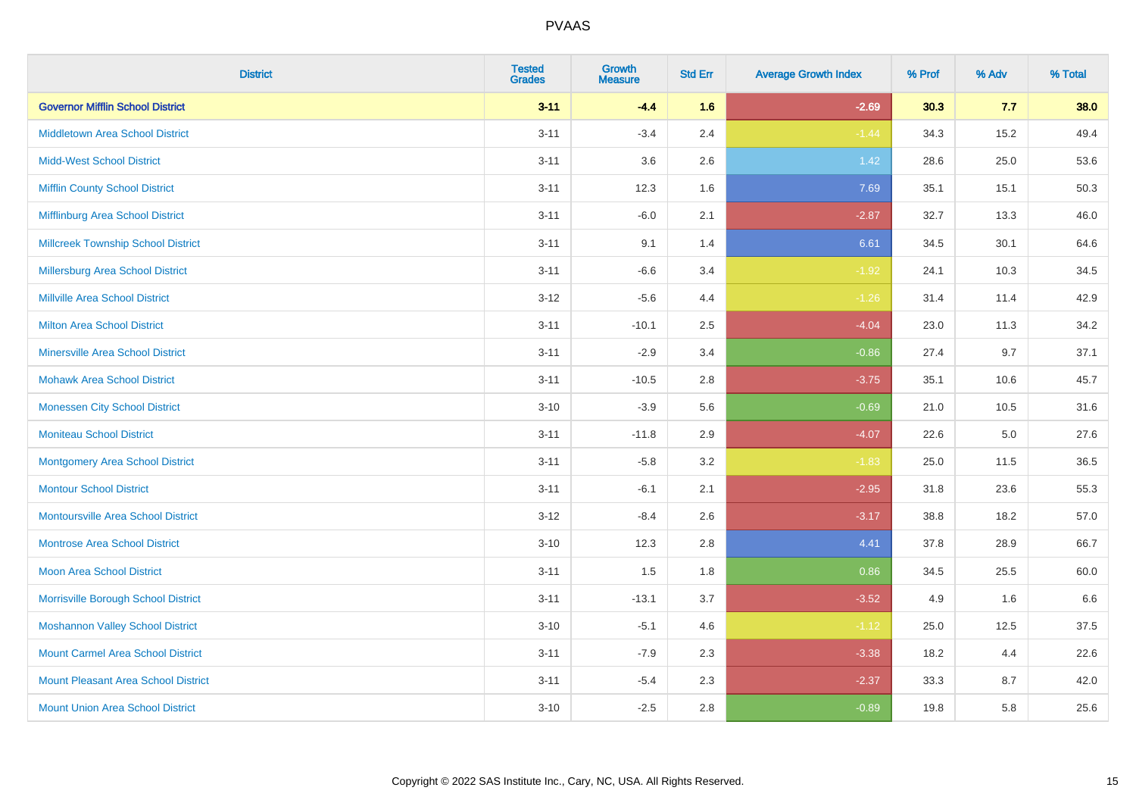| <b>District</b>                            | <b>Tested</b><br><b>Grades</b> | <b>Growth</b><br><b>Measure</b> | <b>Std Err</b> | <b>Average Growth Index</b> | % Prof | % Adv   | % Total |
|--------------------------------------------|--------------------------------|---------------------------------|----------------|-----------------------------|--------|---------|---------|
| <b>Governor Mifflin School District</b>    | $3 - 11$                       | $-4.4$                          | 1.6            | $-2.69$                     | 30.3   | 7.7     | 38.0    |
| <b>Middletown Area School District</b>     | $3 - 11$                       | $-3.4$                          | 2.4            | $-1.44$                     | 34.3   | 15.2    | 49.4    |
| <b>Midd-West School District</b>           | $3 - 11$                       | 3.6                             | 2.6            | 1.42                        | 28.6   | 25.0    | 53.6    |
| <b>Mifflin County School District</b>      | $3 - 11$                       | 12.3                            | 1.6            | 7.69                        | 35.1   | 15.1    | 50.3    |
| Mifflinburg Area School District           | $3 - 11$                       | $-6.0$                          | 2.1            | $-2.87$                     | 32.7   | 13.3    | 46.0    |
| <b>Millcreek Township School District</b>  | $3 - 11$                       | 9.1                             | 1.4            | 6.61                        | 34.5   | 30.1    | 64.6    |
| Millersburg Area School District           | $3 - 11$                       | $-6.6$                          | 3.4            | $-1.92$                     | 24.1   | 10.3    | 34.5    |
| <b>Millville Area School District</b>      | $3 - 12$                       | $-5.6$                          | 4.4            | $-1.26$                     | 31.4   | 11.4    | 42.9    |
| <b>Milton Area School District</b>         | $3 - 11$                       | $-10.1$                         | 2.5            | $-4.04$                     | 23.0   | 11.3    | 34.2    |
| <b>Minersville Area School District</b>    | $3 - 11$                       | $-2.9$                          | 3.4            | $-0.86$                     | 27.4   | 9.7     | 37.1    |
| <b>Mohawk Area School District</b>         | $3 - 11$                       | $-10.5$                         | 2.8            | $-3.75$                     | 35.1   | 10.6    | 45.7    |
| <b>Monessen City School District</b>       | $3 - 10$                       | $-3.9$                          | 5.6            | $-0.69$                     | 21.0   | 10.5    | 31.6    |
| <b>Moniteau School District</b>            | $3 - 11$                       | $-11.8$                         | 2.9            | $-4.07$                     | 22.6   | $5.0\,$ | 27.6    |
| <b>Montgomery Area School District</b>     | $3 - 11$                       | $-5.8$                          | 3.2            | $-1.83$                     | 25.0   | 11.5    | 36.5    |
| <b>Montour School District</b>             | $3 - 11$                       | $-6.1$                          | 2.1            | $-2.95$                     | 31.8   | 23.6    | 55.3    |
| <b>Montoursville Area School District</b>  | $3 - 12$                       | $-8.4$                          | 2.6            | $-3.17$                     | 38.8   | 18.2    | 57.0    |
| <b>Montrose Area School District</b>       | $3 - 10$                       | 12.3                            | 2.8            | 4.41                        | 37.8   | 28.9    | 66.7    |
| <b>Moon Area School District</b>           | $3 - 11$                       | 1.5                             | 1.8            | 0.86                        | 34.5   | 25.5    | 60.0    |
| Morrisville Borough School District        | $3 - 11$                       | $-13.1$                         | 3.7            | $-3.52$                     | 4.9    | 1.6     | 6.6     |
| <b>Moshannon Valley School District</b>    | $3 - 10$                       | $-5.1$                          | 4.6            | $-1.12$                     | 25.0   | 12.5    | 37.5    |
| <b>Mount Carmel Area School District</b>   | $3 - 11$                       | $-7.9$                          | 2.3            | $-3.38$                     | 18.2   | 4.4     | 22.6    |
| <b>Mount Pleasant Area School District</b> | $3 - 11$                       | $-5.4$                          | 2.3            | $-2.37$                     | 33.3   | 8.7     | 42.0    |
| <b>Mount Union Area School District</b>    | $3 - 10$                       | $-2.5$                          | 2.8            | $-0.89$                     | 19.8   | 5.8     | 25.6    |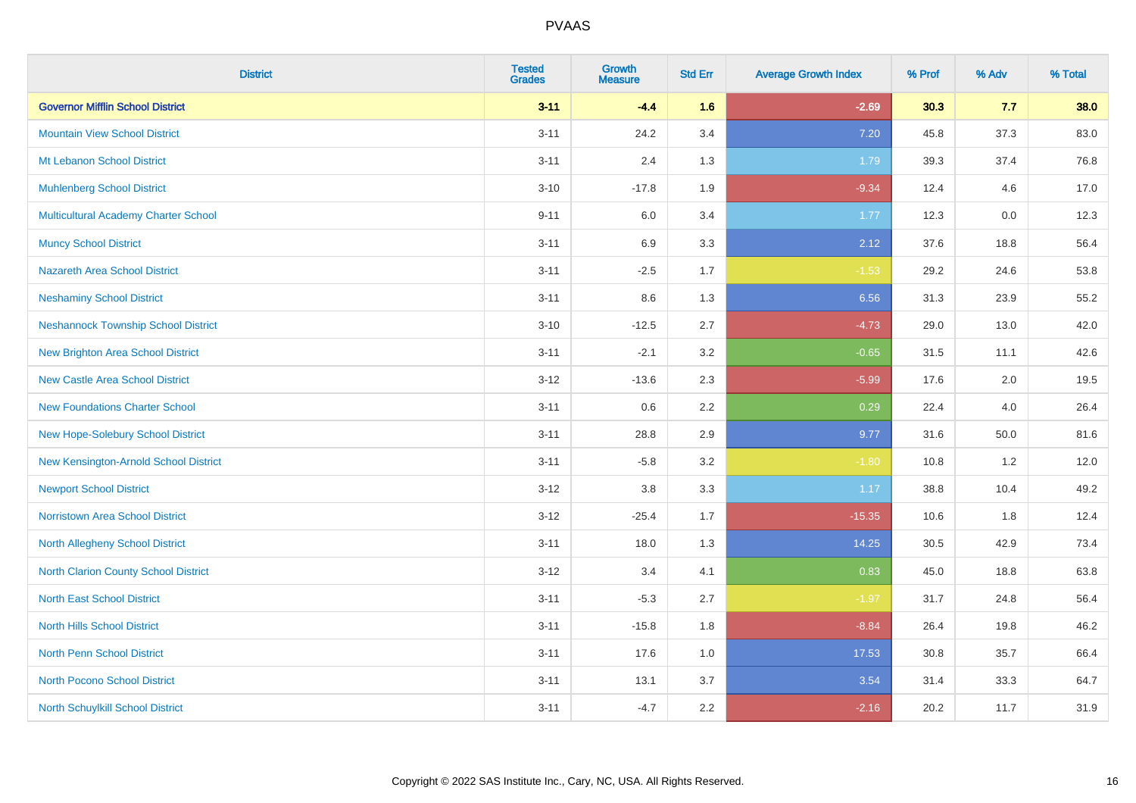| <b>District</b>                            | <b>Tested</b><br><b>Grades</b> | <b>Growth</b><br><b>Measure</b> | <b>Std Err</b> | <b>Average Growth Index</b> | % Prof | % Adv    | % Total |
|--------------------------------------------|--------------------------------|---------------------------------|----------------|-----------------------------|--------|----------|---------|
| <b>Governor Mifflin School District</b>    | $3 - 11$                       | $-4.4$                          | 1.6            | $-2.69$                     | 30.3   | 7.7      | 38.0    |
| <b>Mountain View School District</b>       | $3 - 11$                       | 24.2                            | 3.4            | 7.20                        | 45.8   | 37.3     | 83.0    |
| Mt Lebanon School District                 | $3 - 11$                       | 2.4                             | 1.3            | 1.79                        | 39.3   | 37.4     | 76.8    |
| <b>Muhlenberg School District</b>          | $3 - 10$                       | $-17.8$                         | 1.9            | $-9.34$                     | 12.4   | 4.6      | 17.0    |
| Multicultural Academy Charter School       | $9 - 11$                       | 6.0                             | 3.4            | 1.77                        | 12.3   | 0.0      | 12.3    |
| <b>Muncy School District</b>               | $3 - 11$                       | 6.9                             | 3.3            | 2.12                        | 37.6   | 18.8     | 56.4    |
| <b>Nazareth Area School District</b>       | $3 - 11$                       | $-2.5$                          | 1.7            | $-1.53$                     | 29.2   | 24.6     | 53.8    |
| <b>Neshaminy School District</b>           | $3 - 11$                       | 8.6                             | 1.3            | 6.56                        | 31.3   | 23.9     | 55.2    |
| <b>Neshannock Township School District</b> | $3 - 10$                       | $-12.5$                         | 2.7            | $-4.73$                     | 29.0   | 13.0     | 42.0    |
| <b>New Brighton Area School District</b>   | $3 - 11$                       | $-2.1$                          | 3.2            | $-0.65$                     | 31.5   | 11.1     | 42.6    |
| <b>New Castle Area School District</b>     | $3 - 12$                       | $-13.6$                         | 2.3            | $-5.99$                     | 17.6   | 2.0      | 19.5    |
| <b>New Foundations Charter School</b>      | $3 - 11$                       | 0.6                             | 2.2            | 0.29                        | 22.4   | 4.0      | 26.4    |
| New Hope-Solebury School District          | $3 - 11$                       | 28.8                            | 2.9            | 9.77                        | 31.6   | $50.0\,$ | 81.6    |
| New Kensington-Arnold School District      | $3 - 11$                       | $-5.8$                          | 3.2            | $-1.80$                     | 10.8   | 1.2      | 12.0    |
| <b>Newport School District</b>             | $3 - 12$                       | $3.8\,$                         | 3.3            | 1.17                        | 38.8   | 10.4     | 49.2    |
| <b>Norristown Area School District</b>     | $3 - 12$                       | $-25.4$                         | 1.7            | $-15.35$                    | 10.6   | 1.8      | 12.4    |
| North Allegheny School District            | $3 - 11$                       | 18.0                            | 1.3            | 14.25                       | 30.5   | 42.9     | 73.4    |
| North Clarion County School District       | $3 - 12$                       | 3.4                             | 4.1            | 0.83                        | 45.0   | 18.8     | 63.8    |
| <b>North East School District</b>          | $3 - 11$                       | $-5.3$                          | 2.7            | $-1.97$                     | 31.7   | 24.8     | 56.4    |
| <b>North Hills School District</b>         | $3 - 11$                       | $-15.8$                         | 1.8            | $-8.84$                     | 26.4   | 19.8     | 46.2    |
| <b>North Penn School District</b>          | $3 - 11$                       | 17.6                            | 1.0            | 17.53                       | 30.8   | 35.7     | 66.4    |
| <b>North Pocono School District</b>        | $3 - 11$                       | 13.1                            | 3.7            | 3.54                        | 31.4   | 33.3     | 64.7    |
| North Schuylkill School District           | $3 - 11$                       | $-4.7$                          | 2.2            | $-2.16$                     | 20.2   | 11.7     | 31.9    |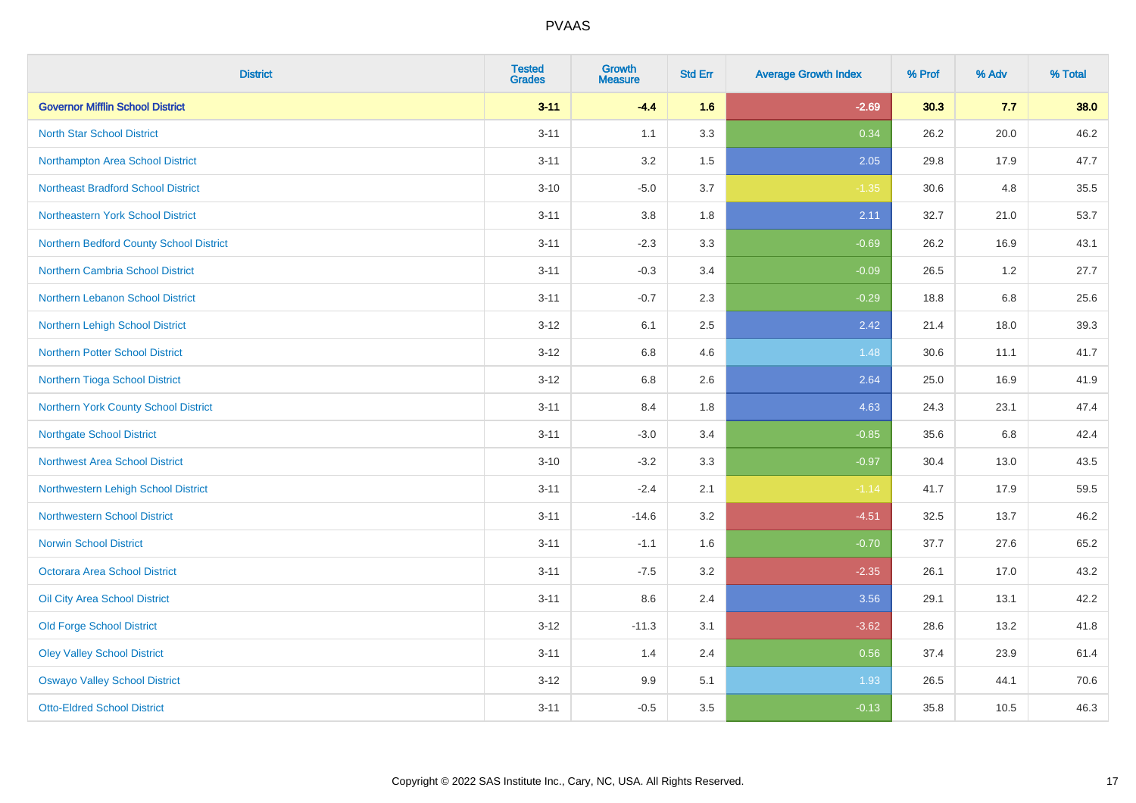| <b>District</b>                           | <b>Tested</b><br><b>Grades</b> | <b>Growth</b><br><b>Measure</b> | <b>Std Err</b> | <b>Average Growth Index</b> | % Prof | % Adv   | % Total |
|-------------------------------------------|--------------------------------|---------------------------------|----------------|-----------------------------|--------|---------|---------|
| <b>Governor Mifflin School District</b>   | $3 - 11$                       | $-4.4$                          | 1.6            | $-2.69$                     | 30.3   | 7.7     | 38.0    |
| <b>North Star School District</b>         | $3 - 11$                       | 1.1                             | 3.3            | 0.34                        | 26.2   | 20.0    | 46.2    |
| Northampton Area School District          | $3 - 11$                       | 3.2                             | 1.5            | 2.05                        | 29.8   | 17.9    | 47.7    |
| <b>Northeast Bradford School District</b> | $3 - 10$                       | $-5.0$                          | 3.7            | $-1.35$                     | 30.6   | 4.8     | 35.5    |
| Northeastern York School District         | $3 - 11$                       | 3.8                             | 1.8            | 2.11                        | 32.7   | 21.0    | 53.7    |
| Northern Bedford County School District   | $3 - 11$                       | $-2.3$                          | 3.3            | $-0.69$                     | 26.2   | 16.9    | 43.1    |
| Northern Cambria School District          | $3 - 11$                       | $-0.3$                          | 3.4            | $-0.09$                     | 26.5   | 1.2     | 27.7    |
| Northern Lebanon School District          | $3 - 11$                       | $-0.7$                          | 2.3            | $-0.29$                     | 18.8   | 6.8     | 25.6    |
| Northern Lehigh School District           | $3 - 12$                       | 6.1                             | 2.5            | 2.42                        | 21.4   | 18.0    | 39.3    |
| Northern Potter School District           | $3 - 12$                       | 6.8                             | 4.6            | 1.48                        | 30.6   | 11.1    | 41.7    |
| Northern Tioga School District            | $3 - 12$                       | 6.8                             | 2.6            | 2.64                        | 25.0   | 16.9    | 41.9    |
| Northern York County School District      | $3 - 11$                       | 8.4                             | 1.8            | 4.63                        | 24.3   | 23.1    | 47.4    |
| <b>Northgate School District</b>          | $3 - 11$                       | $-3.0$                          | 3.4            | $-0.85$                     | 35.6   | $6.8\,$ | 42.4    |
| <b>Northwest Area School District</b>     | $3 - 10$                       | $-3.2$                          | 3.3            | $-0.97$                     | 30.4   | 13.0    | 43.5    |
| Northwestern Lehigh School District       | $3 - 11$                       | $-2.4$                          | 2.1            | $-1.14$                     | 41.7   | 17.9    | 59.5    |
| <b>Northwestern School District</b>       | $3 - 11$                       | $-14.6$                         | 3.2            | $-4.51$                     | 32.5   | 13.7    | 46.2    |
| <b>Norwin School District</b>             | $3 - 11$                       | $-1.1$                          | 1.6            | $-0.70$                     | 37.7   | 27.6    | 65.2    |
| <b>Octorara Area School District</b>      | $3 - 11$                       | $-7.5$                          | 3.2            | $-2.35$                     | 26.1   | 17.0    | 43.2    |
| Oil City Area School District             | $3 - 11$                       | 8.6                             | 2.4            | 3.56                        | 29.1   | 13.1    | 42.2    |
| <b>Old Forge School District</b>          | $3 - 12$                       | $-11.3$                         | 3.1            | $-3.62$                     | 28.6   | 13.2    | 41.8    |
| <b>Oley Valley School District</b>        | $3 - 11$                       | 1.4                             | 2.4            | 0.56                        | 37.4   | 23.9    | 61.4    |
| <b>Oswayo Valley School District</b>      | $3 - 12$                       | 9.9                             | 5.1            | 1.93                        | 26.5   | 44.1    | 70.6    |
| <b>Otto-Eldred School District</b>        | $3 - 11$                       | $-0.5$                          | 3.5            | $-0.13$                     | 35.8   | 10.5    | 46.3    |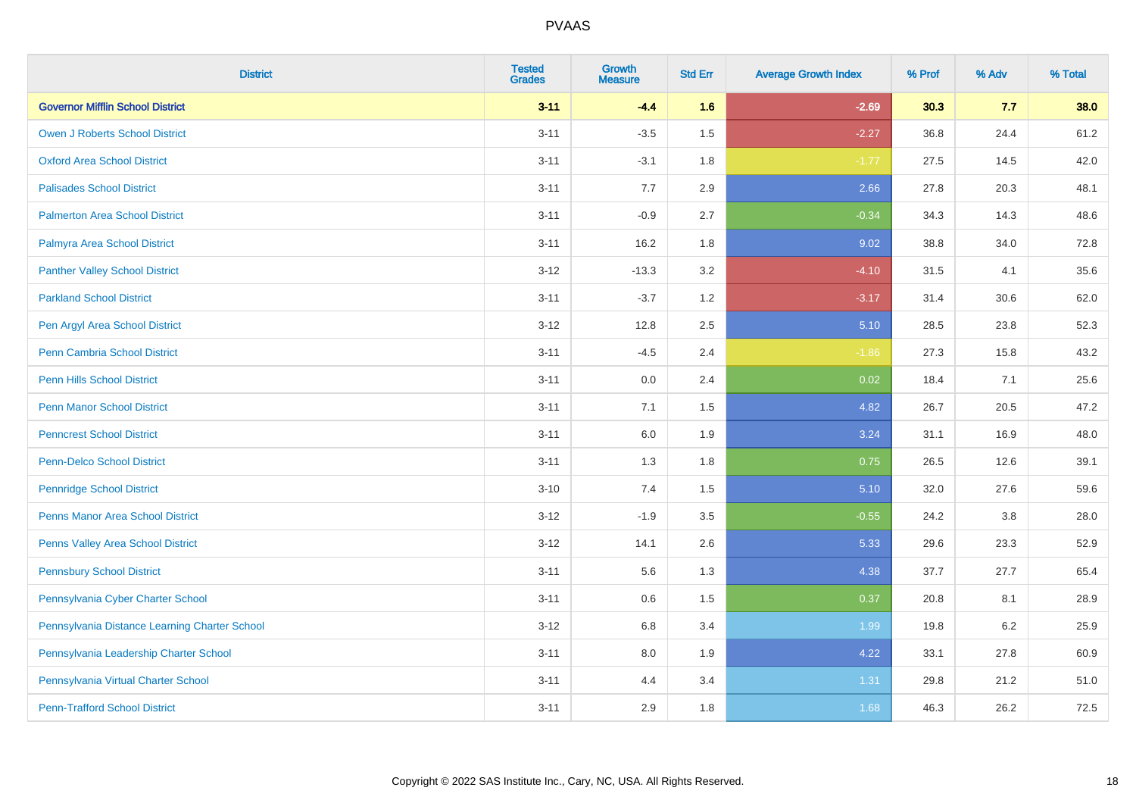| <b>District</b>                               | <b>Tested</b><br><b>Grades</b> | <b>Growth</b><br><b>Measure</b> | <b>Std Err</b> | <b>Average Growth Index</b> | % Prof | % Adv   | % Total |
|-----------------------------------------------|--------------------------------|---------------------------------|----------------|-----------------------------|--------|---------|---------|
| <b>Governor Mifflin School District</b>       | $3 - 11$                       | $-4.4$                          | 1.6            | $-2.69$                     | 30.3   | 7.7     | 38.0    |
| <b>Owen J Roberts School District</b>         | $3 - 11$                       | $-3.5$                          | 1.5            | $-2.27$                     | 36.8   | 24.4    | 61.2    |
| <b>Oxford Area School District</b>            | $3 - 11$                       | $-3.1$                          | 1.8            | $-1.77$                     | 27.5   | 14.5    | 42.0    |
| <b>Palisades School District</b>              | $3 - 11$                       | 7.7                             | 2.9            | 2.66                        | 27.8   | 20.3    | 48.1    |
| <b>Palmerton Area School District</b>         | $3 - 11$                       | $-0.9$                          | 2.7            | $-0.34$                     | 34.3   | 14.3    | 48.6    |
| Palmyra Area School District                  | $3 - 11$                       | 16.2                            | 1.8            | 9.02                        | 38.8   | 34.0    | 72.8    |
| <b>Panther Valley School District</b>         | $3 - 12$                       | $-13.3$                         | 3.2            | $-4.10$                     | 31.5   | 4.1     | 35.6    |
| <b>Parkland School District</b>               | $3 - 11$                       | $-3.7$                          | 1.2            | $-3.17$                     | 31.4   | 30.6    | 62.0    |
| Pen Argyl Area School District                | $3 - 12$                       | 12.8                            | 2.5            | 5.10                        | 28.5   | 23.8    | 52.3    |
| Penn Cambria School District                  | $3 - 11$                       | $-4.5$                          | 2.4            | $-1.86$                     | 27.3   | 15.8    | 43.2    |
| <b>Penn Hills School District</b>             | $3 - 11$                       | 0.0                             | 2.4            | 0.02                        | 18.4   | 7.1     | 25.6    |
| <b>Penn Manor School District</b>             | $3 - 11$                       | 7.1                             | 1.5            | 4.82                        | 26.7   | 20.5    | 47.2    |
| <b>Penncrest School District</b>              | $3 - 11$                       | 6.0                             | 1.9            | 3.24                        | 31.1   | 16.9    | 48.0    |
| <b>Penn-Delco School District</b>             | $3 - 11$                       | 1.3                             | 1.8            | 0.75                        | 26.5   | 12.6    | 39.1    |
| <b>Pennridge School District</b>              | $3 - 10$                       | 7.4                             | 1.5            | 5.10                        | 32.0   | 27.6    | 59.6    |
| <b>Penns Manor Area School District</b>       | $3 - 12$                       | $-1.9$                          | $3.5\,$        | $-0.55$                     | 24.2   | $3.8\,$ | 28.0    |
| Penns Valley Area School District             | $3 - 12$                       | 14.1                            | 2.6            | 5.33                        | 29.6   | 23.3    | 52.9    |
| <b>Pennsbury School District</b>              | $3 - 11$                       | 5.6                             | 1.3            | 4.38                        | 37.7   | 27.7    | 65.4    |
| Pennsylvania Cyber Charter School             | $3 - 11$                       | 0.6                             | 1.5            | 0.37                        | 20.8   | 8.1     | 28.9    |
| Pennsylvania Distance Learning Charter School | $3 - 12$                       | 6.8                             | 3.4            | 1.99                        | 19.8   | 6.2     | 25.9    |
| Pennsylvania Leadership Charter School        | $3 - 11$                       | 8.0                             | 1.9            | 4.22                        | 33.1   | 27.8    | 60.9    |
| Pennsylvania Virtual Charter School           | $3 - 11$                       | 4.4                             | 3.4            | 1.31                        | 29.8   | 21.2    | 51.0    |
| <b>Penn-Trafford School District</b>          | $3 - 11$                       | 2.9                             | 1.8            | 1.68                        | 46.3   | 26.2    | 72.5    |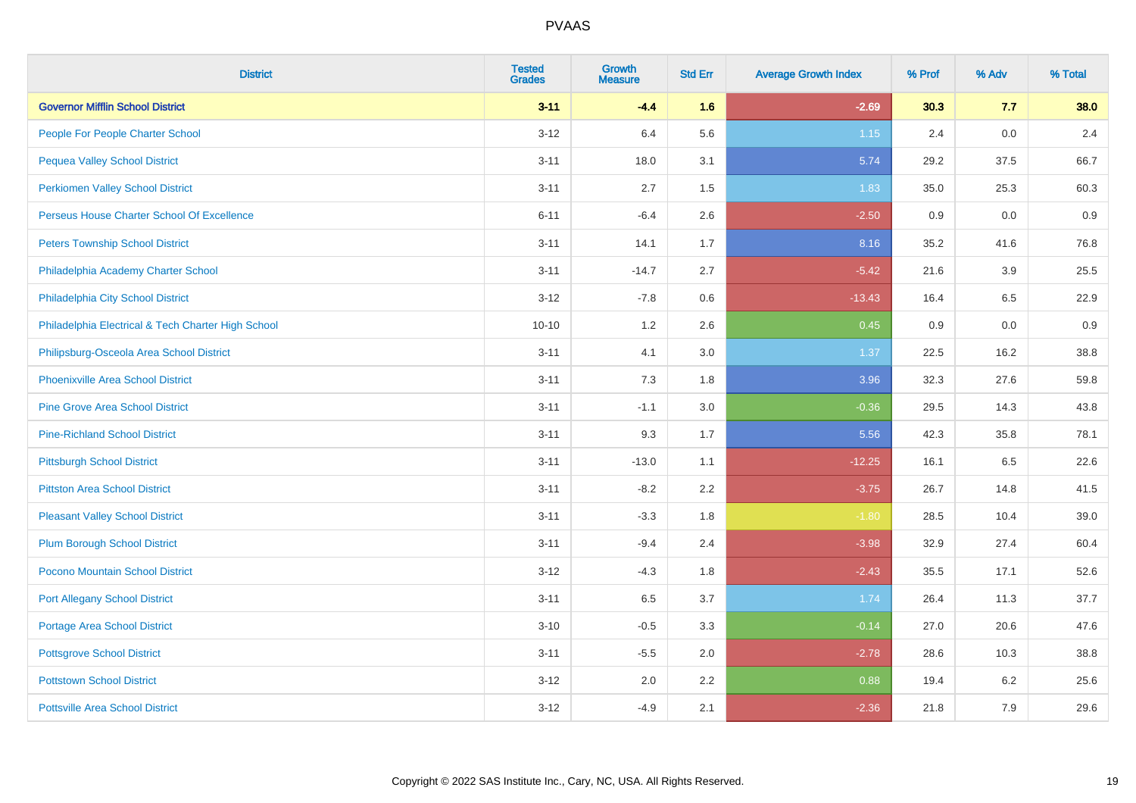| <b>District</b>                                    | <b>Tested</b><br><b>Grades</b> | <b>Growth</b><br><b>Measure</b> | <b>Std Err</b> | <b>Average Growth Index</b> | % Prof | % Adv | % Total |
|----------------------------------------------------|--------------------------------|---------------------------------|----------------|-----------------------------|--------|-------|---------|
| <b>Governor Mifflin School District</b>            | $3 - 11$                       | $-4.4$                          | 1.6            | $-2.69$                     | 30.3   | 7.7   | 38.0    |
| People For People Charter School                   | $3 - 12$                       | 6.4                             | 5.6            | $1.15$                      | 2.4    | 0.0   | 2.4     |
| <b>Pequea Valley School District</b>               | $3 - 11$                       | 18.0                            | 3.1            | 5.74                        | 29.2   | 37.5  | 66.7    |
| <b>Perkiomen Valley School District</b>            | $3 - 11$                       | 2.7                             | 1.5            | 1.83                        | 35.0   | 25.3  | 60.3    |
| Perseus House Charter School Of Excellence         | $6 - 11$                       | $-6.4$                          | 2.6            | $-2.50$                     | 0.9    | 0.0   | 0.9     |
| <b>Peters Township School District</b>             | $3 - 11$                       | 14.1                            | 1.7            | 8.16                        | 35.2   | 41.6  | 76.8    |
| Philadelphia Academy Charter School                | $3 - 11$                       | $-14.7$                         | 2.7            | $-5.42$                     | 21.6   | 3.9   | 25.5    |
| Philadelphia City School District                  | $3 - 12$                       | $-7.8$                          | 0.6            | $-13.43$                    | 16.4   | 6.5   | 22.9    |
| Philadelphia Electrical & Tech Charter High School | $10 - 10$                      | 1.2                             | 2.6            | 0.45                        | 0.9    | 0.0   | 0.9     |
| Philipsburg-Osceola Area School District           | $3 - 11$                       | 4.1                             | 3.0            | 1.37                        | 22.5   | 16.2  | 38.8    |
| Phoenixville Area School District                  | $3 - 11$                       | 7.3                             | 1.8            | 3.96                        | 32.3   | 27.6  | 59.8    |
| <b>Pine Grove Area School District</b>             | $3 - 11$                       | $-1.1$                          | 3.0            | $-0.36$                     | 29.5   | 14.3  | 43.8    |
| <b>Pine-Richland School District</b>               | $3 - 11$                       | 9.3                             | 1.7            | 5.56                        | 42.3   | 35.8  | 78.1    |
| <b>Pittsburgh School District</b>                  | $3 - 11$                       | $-13.0$                         | 1.1            | $-12.25$                    | 16.1   | 6.5   | 22.6    |
| <b>Pittston Area School District</b>               | $3 - 11$                       | $-8.2$                          | 2.2            | $-3.75$                     | 26.7   | 14.8  | 41.5    |
| <b>Pleasant Valley School District</b>             | $3 - 11$                       | $-3.3$                          | 1.8            | $-1.80$                     | 28.5   | 10.4  | 39.0    |
| <b>Plum Borough School District</b>                | $3 - 11$                       | $-9.4$                          | 2.4            | $-3.98$                     | 32.9   | 27.4  | 60.4    |
| Pocono Mountain School District                    | $3 - 12$                       | $-4.3$                          | 1.8            | $-2.43$                     | 35.5   | 17.1  | 52.6    |
| <b>Port Allegany School District</b>               | $3 - 11$                       | 6.5                             | 3.7            | 1.74                        | 26.4   | 11.3  | 37.7    |
| <b>Portage Area School District</b>                | $3 - 10$                       | $-0.5$                          | 3.3            | $-0.14$                     | 27.0   | 20.6  | 47.6    |
| <b>Pottsgrove School District</b>                  | $3 - 11$                       | $-5.5$                          | 2.0            | $-2.78$                     | 28.6   | 10.3  | 38.8    |
| <b>Pottstown School District</b>                   | $3 - 12$                       | 2.0                             | 2.2            | 0.88                        | 19.4   | 6.2   | 25.6    |
| <b>Pottsville Area School District</b>             | $3 - 12$                       | $-4.9$                          | 2.1            | $-2.36$                     | 21.8   | 7.9   | 29.6    |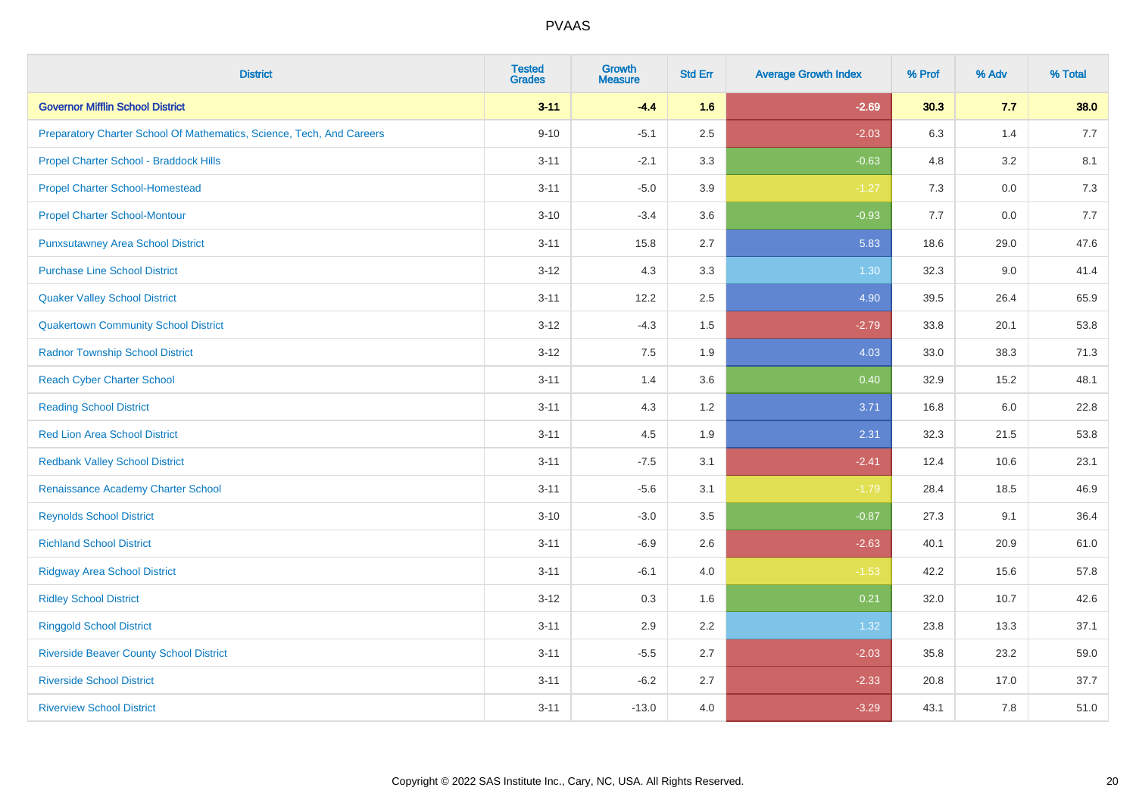| <b>District</b>                                                       | <b>Tested</b><br><b>Grades</b> | <b>Growth</b><br><b>Measure</b> | <b>Std Err</b> | <b>Average Growth Index</b> | % Prof | % Adv   | % Total |
|-----------------------------------------------------------------------|--------------------------------|---------------------------------|----------------|-----------------------------|--------|---------|---------|
| <b>Governor Mifflin School District</b>                               | $3 - 11$                       | $-4.4$                          | 1.6            | $-2.69$                     | 30.3   | 7.7     | 38.0    |
| Preparatory Charter School Of Mathematics, Science, Tech, And Careers | $9 - 10$                       | $-5.1$                          | 2.5            | $-2.03$                     | 6.3    | 1.4     | 7.7     |
| Propel Charter School - Braddock Hills                                | $3 - 11$                       | $-2.1$                          | 3.3            | $-0.63$                     | 4.8    | 3.2     | 8.1     |
| <b>Propel Charter School-Homestead</b>                                | $3 - 11$                       | $-5.0$                          | 3.9            | $-1.27$                     | 7.3    | $0.0\,$ | 7.3     |
| <b>Propel Charter School-Montour</b>                                  | $3 - 10$                       | $-3.4$                          | 3.6            | $-0.93$                     | 7.7    | 0.0     | 7.7     |
| <b>Punxsutawney Area School District</b>                              | $3 - 11$                       | 15.8                            | 2.7            | 5.83                        | 18.6   | 29.0    | 47.6    |
| <b>Purchase Line School District</b>                                  | $3 - 12$                       | 4.3                             | 3.3            | 1.30                        | 32.3   | 9.0     | 41.4    |
| <b>Quaker Valley School District</b>                                  | $3 - 11$                       | 12.2                            | 2.5            | 4.90                        | 39.5   | 26.4    | 65.9    |
| <b>Quakertown Community School District</b>                           | $3 - 12$                       | $-4.3$                          | 1.5            | $-2.79$                     | 33.8   | 20.1    | 53.8    |
| <b>Radnor Township School District</b>                                | $3 - 12$                       | 7.5                             | 1.9            | 4.03                        | 33.0   | 38.3    | 71.3    |
| <b>Reach Cyber Charter School</b>                                     | $3 - 11$                       | 1.4                             | 3.6            | 0.40                        | 32.9   | 15.2    | 48.1    |
| <b>Reading School District</b>                                        | $3 - 11$                       | 4.3                             | 1.2            | 3.71                        | 16.8   | 6.0     | 22.8    |
| <b>Red Lion Area School District</b>                                  | $3 - 11$                       | 4.5                             | 1.9            | 2.31                        | 32.3   | 21.5    | 53.8    |
| <b>Redbank Valley School District</b>                                 | $3 - 11$                       | $-7.5$                          | 3.1            | $-2.41$                     | 12.4   | 10.6    | 23.1    |
| Renaissance Academy Charter School                                    | $3 - 11$                       | $-5.6$                          | 3.1            | $-1.79$                     | 28.4   | 18.5    | 46.9    |
| <b>Reynolds School District</b>                                       | $3 - 10$                       | $-3.0$                          | 3.5            | $-0.87$                     | 27.3   | 9.1     | 36.4    |
| <b>Richland School District</b>                                       | $3 - 11$                       | $-6.9$                          | 2.6            | $-2.63$                     | 40.1   | 20.9    | 61.0    |
| <b>Ridgway Area School District</b>                                   | $3 - 11$                       | $-6.1$                          | 4.0            | $-1.53$                     | 42.2   | 15.6    | 57.8    |
| <b>Ridley School District</b>                                         | $3 - 12$                       | 0.3                             | 1.6            | 0.21                        | 32.0   | 10.7    | 42.6    |
| <b>Ringgold School District</b>                                       | $3 - 11$                       | 2.9                             | 2.2            | 1.32                        | 23.8   | 13.3    | 37.1    |
| <b>Riverside Beaver County School District</b>                        | $3 - 11$                       | $-5.5$                          | 2.7            | $-2.03$                     | 35.8   | 23.2    | 59.0    |
| <b>Riverside School District</b>                                      | $3 - 11$                       | $-6.2$                          | 2.7            | $-2.33$                     | 20.8   | 17.0    | 37.7    |
| <b>Riverview School District</b>                                      | $3 - 11$                       | $-13.0$                         | 4.0            | $-3.29$                     | 43.1   | 7.8     | 51.0    |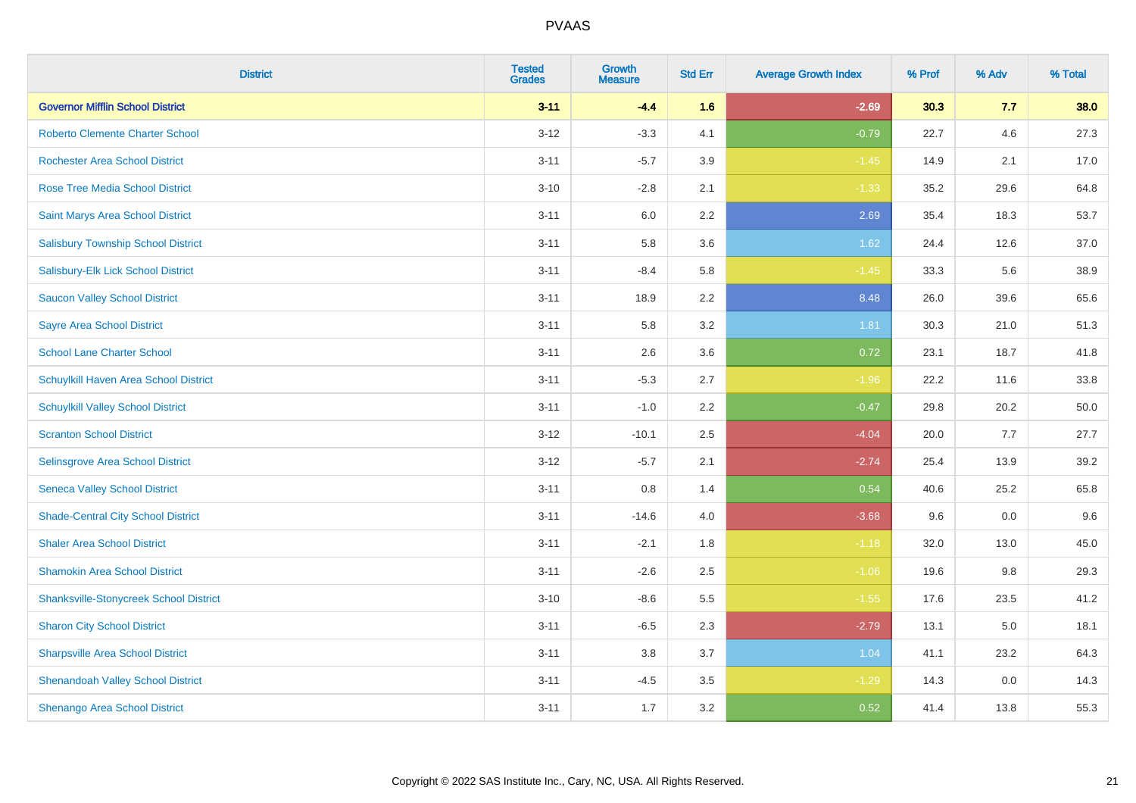| <b>District</b>                               | <b>Tested</b><br><b>Grades</b> | Growth<br><b>Measure</b> | <b>Std Err</b> | <b>Average Growth Index</b> | % Prof | % Adv | % Total |
|-----------------------------------------------|--------------------------------|--------------------------|----------------|-----------------------------|--------|-------|---------|
| <b>Governor Mifflin School District</b>       | $3 - 11$                       | $-4.4$                   | 1.6            | $-2.69$                     | 30.3   | 7.7   | 38.0    |
| <b>Roberto Clemente Charter School</b>        | $3 - 12$                       | $-3.3$                   | 4.1            | $-0.79$                     | 22.7   | 4.6   | 27.3    |
| <b>Rochester Area School District</b>         | $3 - 11$                       | $-5.7$                   | 3.9            | $-1.45$                     | 14.9   | 2.1   | 17.0    |
| Rose Tree Media School District               | $3 - 10$                       | $-2.8$                   | 2.1            | $-1.33$                     | 35.2   | 29.6  | 64.8    |
| Saint Marys Area School District              | $3 - 11$                       | 6.0                      | 2.2            | 2.69                        | 35.4   | 18.3  | 53.7    |
| <b>Salisbury Township School District</b>     | $3 - 11$                       | 5.8                      | 3.6            | 1.62                        | 24.4   | 12.6  | 37.0    |
| Salisbury-Elk Lick School District            | $3 - 11$                       | $-8.4$                   | 5.8            | $-1.45$                     | 33.3   | 5.6   | 38.9    |
| <b>Saucon Valley School District</b>          | $3 - 11$                       | 18.9                     | 2.2            | 8.48                        | 26.0   | 39.6  | 65.6    |
| <b>Sayre Area School District</b>             | $3 - 11$                       | 5.8                      | 3.2            | 1.81                        | 30.3   | 21.0  | 51.3    |
| <b>School Lane Charter School</b>             | $3 - 11$                       | 2.6                      | 3.6            | 0.72                        | 23.1   | 18.7  | 41.8    |
| Schuylkill Haven Area School District         | $3 - 11$                       | $-5.3$                   | 2.7            | $-1.96$                     | 22.2   | 11.6  | 33.8    |
| <b>Schuylkill Valley School District</b>      | $3 - 11$                       | $-1.0$                   | 2.2            | $-0.47$                     | 29.8   | 20.2  | 50.0    |
| <b>Scranton School District</b>               | $3 - 12$                       | $-10.1$                  | 2.5            | $-4.04$                     | 20.0   | 7.7   | 27.7    |
| Selinsgrove Area School District              | $3 - 12$                       | $-5.7$                   | 2.1            | $-2.74$                     | 25.4   | 13.9  | 39.2    |
| <b>Seneca Valley School District</b>          | $3 - 11$                       | $0.8\,$                  | 1.4            | 0.54                        | 40.6   | 25.2  | 65.8    |
| <b>Shade-Central City School District</b>     | $3 - 11$                       | $-14.6$                  | 4.0            | $-3.68$                     | 9.6    | 0.0   | 9.6     |
| <b>Shaler Area School District</b>            | $3 - 11$                       | $-2.1$                   | 1.8            | $-1.18$                     | 32.0   | 13.0  | 45.0    |
| <b>Shamokin Area School District</b>          | $3 - 11$                       | $-2.6$                   | 2.5            | $-1.06$                     | 19.6   | 9.8   | 29.3    |
| <b>Shanksville-Stonycreek School District</b> | $3 - 10$                       | $-8.6$                   | 5.5            | $-1.55$                     | 17.6   | 23.5  | 41.2    |
| <b>Sharon City School District</b>            | $3 - 11$                       | $-6.5$                   | 2.3            | $-2.79$                     | 13.1   | 5.0   | 18.1    |
| <b>Sharpsville Area School District</b>       | $3 - 11$                       | 3.8                      | 3.7            | 1.04                        | 41.1   | 23.2  | 64.3    |
| <b>Shenandoah Valley School District</b>      | $3 - 11$                       | $-4.5$                   | 3.5            | $-1.29$                     | 14.3   | 0.0   | 14.3    |
| Shenango Area School District                 | $3 - 11$                       | 1.7                      | 3.2            | 0.52                        | 41.4   | 13.8  | 55.3    |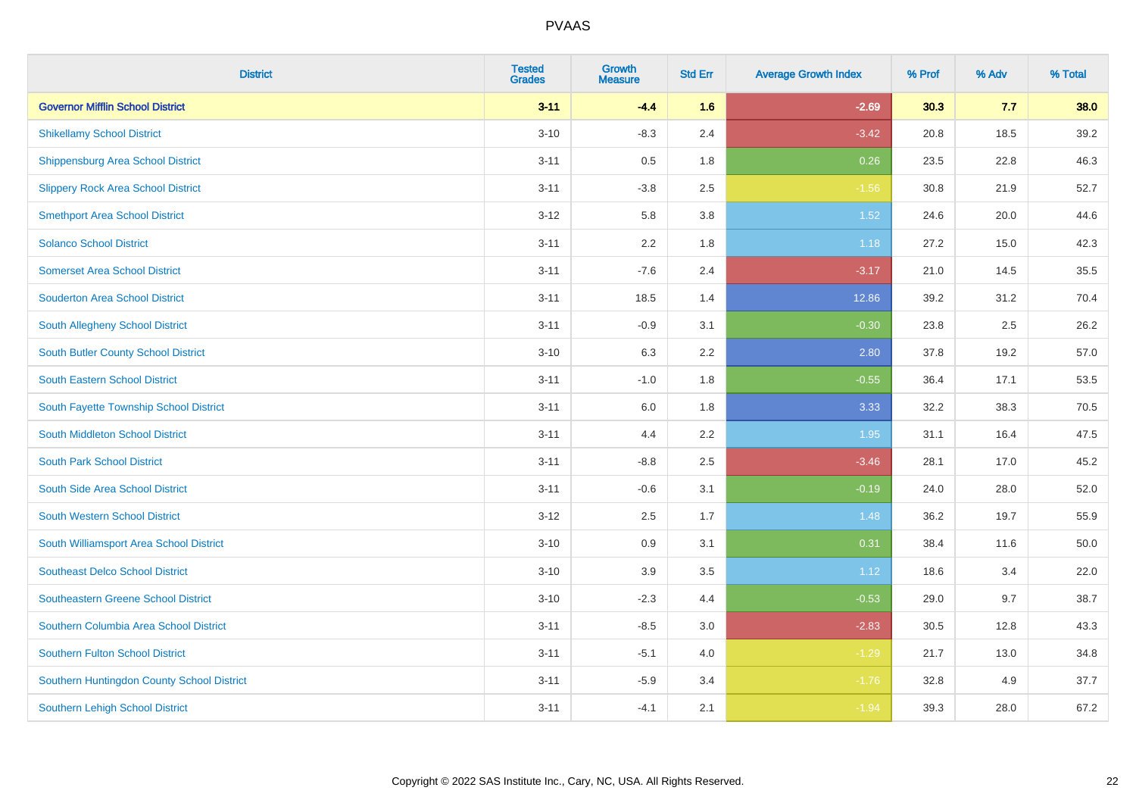| <b>District</b>                            | <b>Tested</b><br><b>Grades</b> | <b>Growth</b><br><b>Measure</b> | <b>Std Err</b> | <b>Average Growth Index</b> | % Prof | % Adv | % Total |
|--------------------------------------------|--------------------------------|---------------------------------|----------------|-----------------------------|--------|-------|---------|
| <b>Governor Mifflin School District</b>    | $3 - 11$                       | $-4.4$                          | 1.6            | $-2.69$                     | 30.3   | 7.7   | 38.0    |
| <b>Shikellamy School District</b>          | $3 - 10$                       | $-8.3$                          | 2.4            | $-3.42$                     | 20.8   | 18.5  | 39.2    |
| <b>Shippensburg Area School District</b>   | $3 - 11$                       | 0.5                             | 1.8            | 0.26                        | 23.5   | 22.8  | 46.3    |
| <b>Slippery Rock Area School District</b>  | $3 - 11$                       | $-3.8$                          | 2.5            | $-1.56$                     | 30.8   | 21.9  | 52.7    |
| <b>Smethport Area School District</b>      | $3 - 12$                       | 5.8                             | 3.8            | 1.52                        | 24.6   | 20.0  | 44.6    |
| <b>Solanco School District</b>             | $3 - 11$                       | 2.2                             | 1.8            | 1.18                        | 27.2   | 15.0  | 42.3    |
| <b>Somerset Area School District</b>       | $3 - 11$                       | $-7.6$                          | 2.4            | $-3.17$                     | 21.0   | 14.5  | 35.5    |
| <b>Souderton Area School District</b>      | $3 - 11$                       | 18.5                            | 1.4            | 12.86                       | 39.2   | 31.2  | 70.4    |
| South Allegheny School District            | $3 - 11$                       | $-0.9$                          | 3.1            | $-0.30$                     | 23.8   | 2.5   | 26.2    |
| South Butler County School District        | $3 - 10$                       | 6.3                             | 2.2            | 2.80                        | 37.8   | 19.2  | 57.0    |
| <b>South Eastern School District</b>       | $3 - 11$                       | $-1.0$                          | 1.8            | $-0.55$                     | 36.4   | 17.1  | 53.5    |
| South Fayette Township School District     | $3 - 11$                       | 6.0                             | 1.8            | 3.33                        | 32.2   | 38.3  | 70.5    |
| South Middleton School District            | $3 - 11$                       | 4.4                             | 2.2            | 1.95                        | 31.1   | 16.4  | 47.5    |
| <b>South Park School District</b>          | $3 - 11$                       | $-8.8$                          | 2.5            | $-3.46$                     | 28.1   | 17.0  | 45.2    |
| South Side Area School District            | $3 - 11$                       | $-0.6$                          | 3.1            | $-0.19$                     | 24.0   | 28.0  | 52.0    |
| <b>South Western School District</b>       | $3 - 12$                       | 2.5                             | 1.7            | 1.48                        | 36.2   | 19.7  | 55.9    |
| South Williamsport Area School District    | $3 - 10$                       | 0.9                             | 3.1            | 0.31                        | 38.4   | 11.6  | 50.0    |
| <b>Southeast Delco School District</b>     | $3 - 10$                       | 3.9                             | 3.5            | 1.12                        | 18.6   | 3.4   | 22.0    |
| <b>Southeastern Greene School District</b> | $3 - 10$                       | $-2.3$                          | 4.4            | $-0.53$                     | 29.0   | 9.7   | 38.7    |
| Southern Columbia Area School District     | $3 - 11$                       | $-8.5$                          | 3.0            | $-2.83$                     | 30.5   | 12.8  | 43.3    |
| <b>Southern Fulton School District</b>     | $3 - 11$                       | $-5.1$                          | 4.0            | $-1.29$                     | 21.7   | 13.0  | 34.8    |
| Southern Huntingdon County School District | $3 - 11$                       | $-5.9$                          | 3.4            | $-1.76$                     | 32.8   | 4.9   | 37.7    |
| <b>Southern Lehigh School District</b>     | $3 - 11$                       | $-4.1$                          | 2.1            | $-1.94$                     | 39.3   | 28.0  | 67.2    |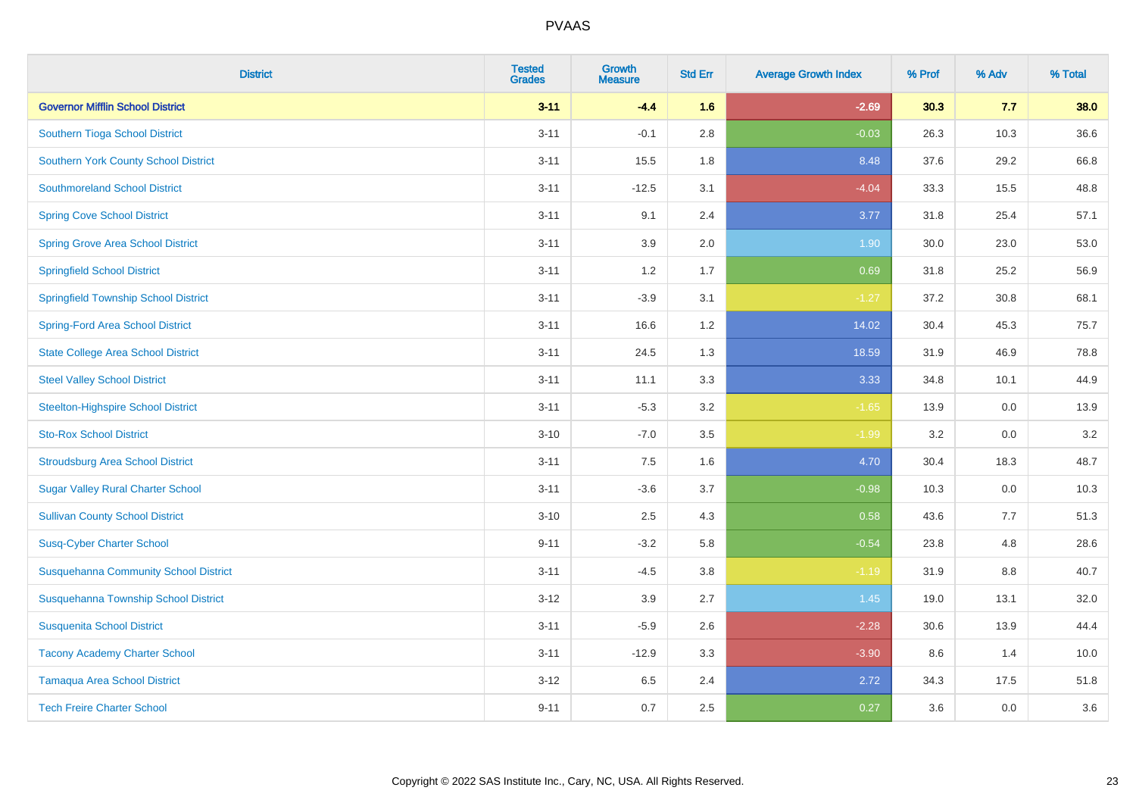| <b>District</b>                              | <b>Tested</b><br><b>Grades</b> | <b>Growth</b><br><b>Measure</b> | <b>Std Err</b> | <b>Average Growth Index</b> | % Prof | % Adv | % Total |
|----------------------------------------------|--------------------------------|---------------------------------|----------------|-----------------------------|--------|-------|---------|
| <b>Governor Mifflin School District</b>      | $3 - 11$                       | $-4.4$                          | 1.6            | $-2.69$                     | 30.3   | 7.7   | 38.0    |
| Southern Tioga School District               | $3 - 11$                       | $-0.1$                          | 2.8            | $-0.03$                     | 26.3   | 10.3  | 36.6    |
| <b>Southern York County School District</b>  | $3 - 11$                       | 15.5                            | 1.8            | 8.48                        | 37.6   | 29.2  | 66.8    |
| <b>Southmoreland School District</b>         | $3 - 11$                       | $-12.5$                         | 3.1            | $-4.04$                     | 33.3   | 15.5  | 48.8    |
| <b>Spring Cove School District</b>           | $3 - 11$                       | 9.1                             | 2.4            | 3.77                        | 31.8   | 25.4  | 57.1    |
| <b>Spring Grove Area School District</b>     | $3 - 11$                       | 3.9                             | 2.0            | 1.90                        | 30.0   | 23.0  | 53.0    |
| <b>Springfield School District</b>           | $3 - 11$                       | 1.2                             | 1.7            | 0.69                        | 31.8   | 25.2  | 56.9    |
| <b>Springfield Township School District</b>  | $3 - 11$                       | $-3.9$                          | 3.1            | $-1.27$                     | 37.2   | 30.8  | 68.1    |
| <b>Spring-Ford Area School District</b>      | $3 - 11$                       | 16.6                            | 1.2            | 14.02                       | 30.4   | 45.3  | 75.7    |
| <b>State College Area School District</b>    | $3 - 11$                       | 24.5                            | 1.3            | 18.59                       | 31.9   | 46.9  | 78.8    |
| <b>Steel Valley School District</b>          | $3 - 11$                       | 11.1                            | 3.3            | 3.33                        | 34.8   | 10.1  | 44.9    |
| <b>Steelton-Highspire School District</b>    | $3 - 11$                       | $-5.3$                          | 3.2            | $-1.65$                     | 13.9   | 0.0   | 13.9    |
| <b>Sto-Rox School District</b>               | $3 - 10$                       | $-7.0$                          | 3.5            | $-1.99$                     | 3.2    | 0.0   | 3.2     |
| <b>Stroudsburg Area School District</b>      | $3 - 11$                       | $7.5\,$                         | 1.6            | 4.70                        | 30.4   | 18.3  | 48.7    |
| <b>Sugar Valley Rural Charter School</b>     | $3 - 11$                       | $-3.6$                          | 3.7            | $-0.98$                     | 10.3   | 0.0   | 10.3    |
| <b>Sullivan County School District</b>       | $3 - 10$                       | 2.5                             | 4.3            | 0.58                        | 43.6   | 7.7   | 51.3    |
| <b>Susq-Cyber Charter School</b>             | $9 - 11$                       | $-3.2$                          | 5.8            | $-0.54$                     | 23.8   | 4.8   | 28.6    |
| <b>Susquehanna Community School District</b> | $3 - 11$                       | $-4.5$                          | 3.8            | $-1.19$                     | 31.9   | 8.8   | 40.7    |
| Susquehanna Township School District         | $3 - 12$                       | 3.9                             | 2.7            | 1.45                        | 19.0   | 13.1  | 32.0    |
| <b>Susquenita School District</b>            | $3 - 11$                       | $-5.9$                          | 2.6            | $-2.28$                     | 30.6   | 13.9  | 44.4    |
| <b>Tacony Academy Charter School</b>         | $3 - 11$                       | $-12.9$                         | 3.3            | $-3.90$                     | 8.6    | 1.4   | 10.0    |
| <b>Tamaqua Area School District</b>          | $3 - 12$                       | 6.5                             | 2.4            | 2.72                        | 34.3   | 17.5  | 51.8    |
| <b>Tech Freire Charter School</b>            | $9 - 11$                       | 0.7                             | 2.5            | 0.27                        | 3.6    | 0.0   | 3.6     |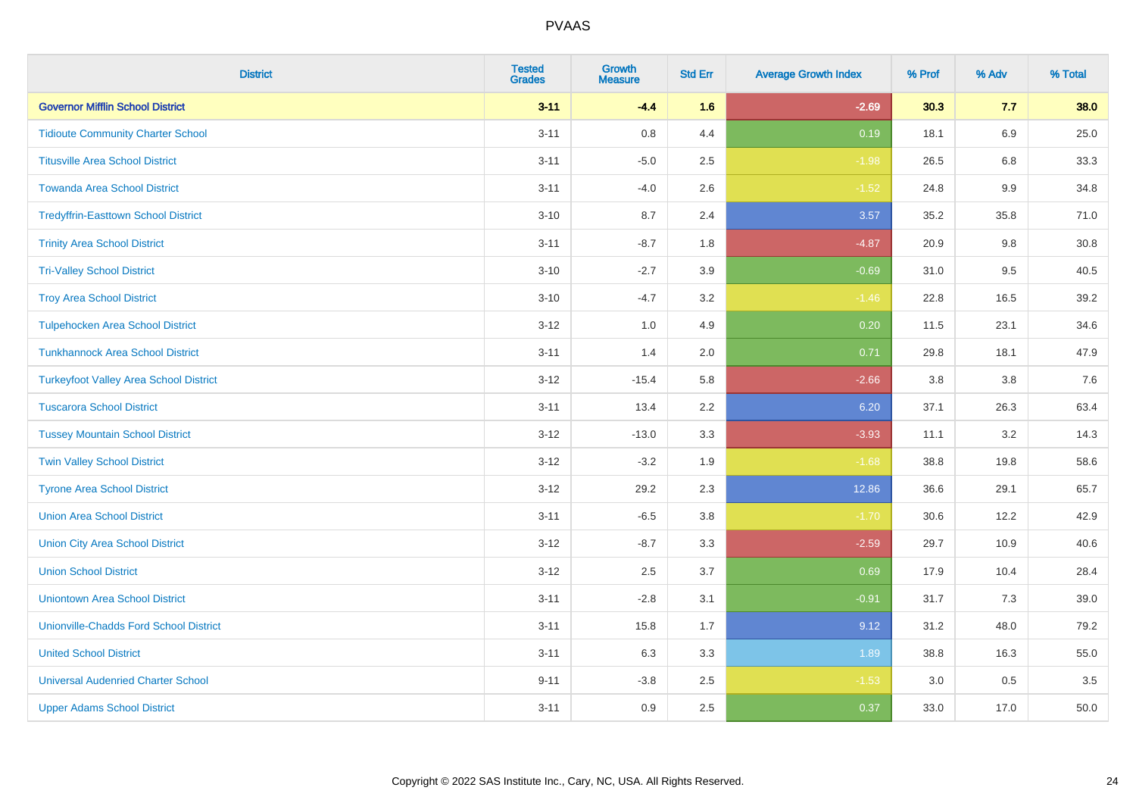| <b>District</b>                               | <b>Tested</b><br><b>Grades</b> | <b>Growth</b><br><b>Measure</b> | <b>Std Err</b> | <b>Average Growth Index</b> | % Prof | % Adv   | % Total |
|-----------------------------------------------|--------------------------------|---------------------------------|----------------|-----------------------------|--------|---------|---------|
| <b>Governor Mifflin School District</b>       | $3 - 11$                       | $-4.4$                          | 1.6            | $-2.69$                     | 30.3   | 7.7     | 38.0    |
| <b>Tidioute Community Charter School</b>      | $3 - 11$                       | $0.8\,$                         | 4.4            | 0.19                        | 18.1   | 6.9     | 25.0    |
| <b>Titusville Area School District</b>        | $3 - 11$                       | $-5.0$                          | 2.5            | $-1.98$                     | 26.5   | 6.8     | 33.3    |
| <b>Towanda Area School District</b>           | $3 - 11$                       | $-4.0$                          | 2.6            | $-1.52$                     | 24.8   | $9.9\,$ | 34.8    |
| <b>Tredyffrin-Easttown School District</b>    | $3 - 10$                       | 8.7                             | 2.4            | 3.57                        | 35.2   | 35.8    | 71.0    |
| <b>Trinity Area School District</b>           | $3 - 11$                       | $-8.7$                          | 1.8            | $-4.87$                     | 20.9   | 9.8     | 30.8    |
| <b>Tri-Valley School District</b>             | $3 - 10$                       | $-2.7$                          | 3.9            | $-0.69$                     | 31.0   | 9.5     | 40.5    |
| <b>Troy Area School District</b>              | $3 - 10$                       | $-4.7$                          | 3.2            | $-1.46$                     | 22.8   | 16.5    | 39.2    |
| <b>Tulpehocken Area School District</b>       | $3-12$                         | 1.0                             | 4.9            | 0.20                        | 11.5   | 23.1    | 34.6    |
| <b>Tunkhannock Area School District</b>       | $3 - 11$                       | 1.4                             | 2.0            | 0.71                        | 29.8   | 18.1    | 47.9    |
| <b>Turkeyfoot Valley Area School District</b> | $3 - 12$                       | $-15.4$                         | 5.8            | $-2.66$                     | 3.8    | 3.8     | 7.6     |
| <b>Tuscarora School District</b>              | $3 - 11$                       | 13.4                            | 2.2            | 6.20                        | 37.1   | 26.3    | 63.4    |
| <b>Tussey Mountain School District</b>        | $3 - 12$                       | $-13.0$                         | 3.3            | $-3.93$                     | 11.1   | $3.2\,$ | 14.3    |
| <b>Twin Valley School District</b>            | $3 - 12$                       | $-3.2$                          | 1.9            | $-1.68$                     | 38.8   | 19.8    | 58.6    |
| <b>Tyrone Area School District</b>            | $3-12$                         | 29.2                            | 2.3            | 12.86                       | 36.6   | 29.1    | 65.7    |
| <b>Union Area School District</b>             | $3 - 11$                       | $-6.5$                          | 3.8            | $-1.70$                     | 30.6   | 12.2    | 42.9    |
| <b>Union City Area School District</b>        | $3 - 12$                       | $-8.7$                          | 3.3            | $-2.59$                     | 29.7   | 10.9    | 40.6    |
| <b>Union School District</b>                  | $3 - 12$                       | 2.5                             | 3.7            | 0.69                        | 17.9   | 10.4    | 28.4    |
| <b>Uniontown Area School District</b>         | $3 - 11$                       | $-2.8$                          | 3.1            | $-0.91$                     | 31.7   | 7.3     | 39.0    |
| <b>Unionville-Chadds Ford School District</b> | $3 - 11$                       | 15.8                            | 1.7            | 9.12                        | 31.2   | 48.0    | 79.2    |
| <b>United School District</b>                 | $3 - 11$                       | 6.3                             | 3.3            | 1.89                        | 38.8   | 16.3    | 55.0    |
| <b>Universal Audenried Charter School</b>     | $9 - 11$                       | $-3.8$                          | 2.5            | $-1.53$                     | 3.0    | 0.5     | 3.5     |
| <b>Upper Adams School District</b>            | $3 - 11$                       | 0.9                             | 2.5            | 0.37                        | 33.0   | 17.0    | 50.0    |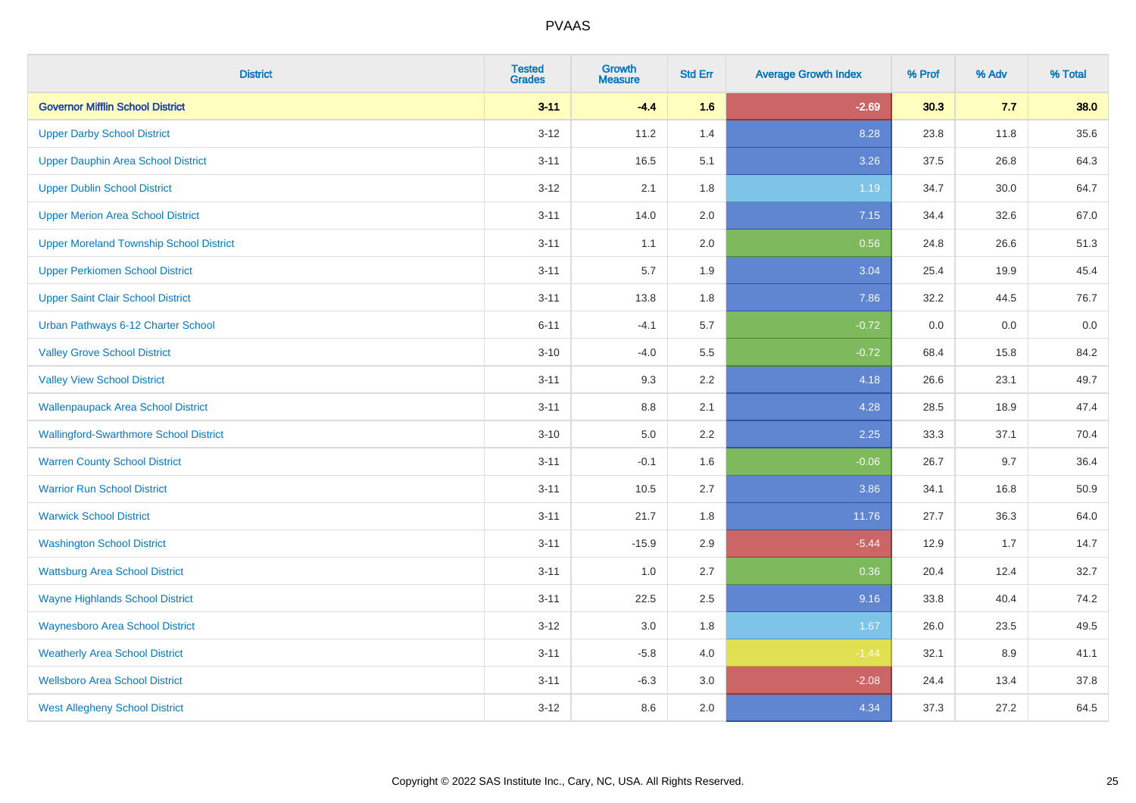| <b>District</b>                                | <b>Tested</b><br><b>Grades</b> | Growth<br><b>Measure</b> | <b>Std Err</b> | <b>Average Growth Index</b> | % Prof | % Adv | % Total |
|------------------------------------------------|--------------------------------|--------------------------|----------------|-----------------------------|--------|-------|---------|
| <b>Governor Mifflin School District</b>        | $3 - 11$                       | $-4.4$                   | 1.6            | $-2.69$                     | 30.3   | 7.7   | 38.0    |
| <b>Upper Darby School District</b>             | $3 - 12$                       | 11.2                     | 1.4            | 8.28                        | 23.8   | 11.8  | 35.6    |
| Upper Dauphin Area School District             | $3 - 11$                       | 16.5                     | 5.1            | 3.26                        | 37.5   | 26.8  | 64.3    |
| <b>Upper Dublin School District</b>            | $3 - 12$                       | 2.1                      | 1.8            | 1.19                        | 34.7   | 30.0  | 64.7    |
| <b>Upper Merion Area School District</b>       | $3 - 11$                       | 14.0                     | 2.0            | 7.15                        | 34.4   | 32.6  | 67.0    |
| <b>Upper Moreland Township School District</b> | $3 - 11$                       | 1.1                      | 2.0            | 0.56                        | 24.8   | 26.6  | 51.3    |
| <b>Upper Perkiomen School District</b>         | $3 - 11$                       | 5.7                      | 1.9            | 3.04                        | 25.4   | 19.9  | 45.4    |
| <b>Upper Saint Clair School District</b>       | $3 - 11$                       | 13.8                     | 1.8            | 7.86                        | 32.2   | 44.5  | 76.7    |
| Urban Pathways 6-12 Charter School             | $6 - 11$                       | $-4.1$                   | 5.7            | $-0.72$                     | 0.0    | 0.0   | $0.0\,$ |
| <b>Valley Grove School District</b>            | $3 - 10$                       | $-4.0$                   | 5.5            | $-0.72$                     | 68.4   | 15.8  | 84.2    |
| <b>Valley View School District</b>             | $3 - 11$                       | 9.3                      | 2.2            | 4.18                        | 26.6   | 23.1  | 49.7    |
| <b>Wallenpaupack Area School District</b>      | $3 - 11$                       | 8.8                      | 2.1            | 4.28                        | 28.5   | 18.9  | 47.4    |
| <b>Wallingford-Swarthmore School District</b>  | $3 - 10$                       | 5.0                      | $2.2\,$        | 2.25                        | 33.3   | 37.1  | 70.4    |
| <b>Warren County School District</b>           | $3 - 11$                       | $-0.1$                   | 1.6            | $-0.06$                     | 26.7   | 9.7   | 36.4    |
| <b>Warrior Run School District</b>             | $3 - 11$                       | 10.5                     | 2.7            | 3.86                        | 34.1   | 16.8  | 50.9    |
| <b>Warwick School District</b>                 | $3 - 11$                       | 21.7                     | 1.8            | 11.76                       | 27.7   | 36.3  | 64.0    |
| <b>Washington School District</b>              | $3 - 11$                       | $-15.9$                  | 2.9            | $-5.44$                     | 12.9   | 1.7   | 14.7    |
| <b>Wattsburg Area School District</b>          | $3 - 11$                       | 1.0                      | 2.7            | 0.36                        | 20.4   | 12.4  | 32.7    |
| <b>Wayne Highlands School District</b>         | $3 - 11$                       | 22.5                     | 2.5            | 9.16                        | 33.8   | 40.4  | 74.2    |
| <b>Waynesboro Area School District</b>         | $3 - 12$                       | $3.0\,$                  | 1.8            | 1.67                        | 26.0   | 23.5  | 49.5    |
| <b>Weatherly Area School District</b>          | $3 - 11$                       | $-5.8$                   | 4.0            | $-1.44$                     | 32.1   | 8.9   | 41.1    |
| <b>Wellsboro Area School District</b>          | $3 - 11$                       | $-6.3$                   | 3.0            | $-2.08$                     | 24.4   | 13.4  | 37.8    |
| <b>West Allegheny School District</b>          | $3 - 12$                       | 8.6                      | 2.0            | 4.34                        | 37.3   | 27.2  | 64.5    |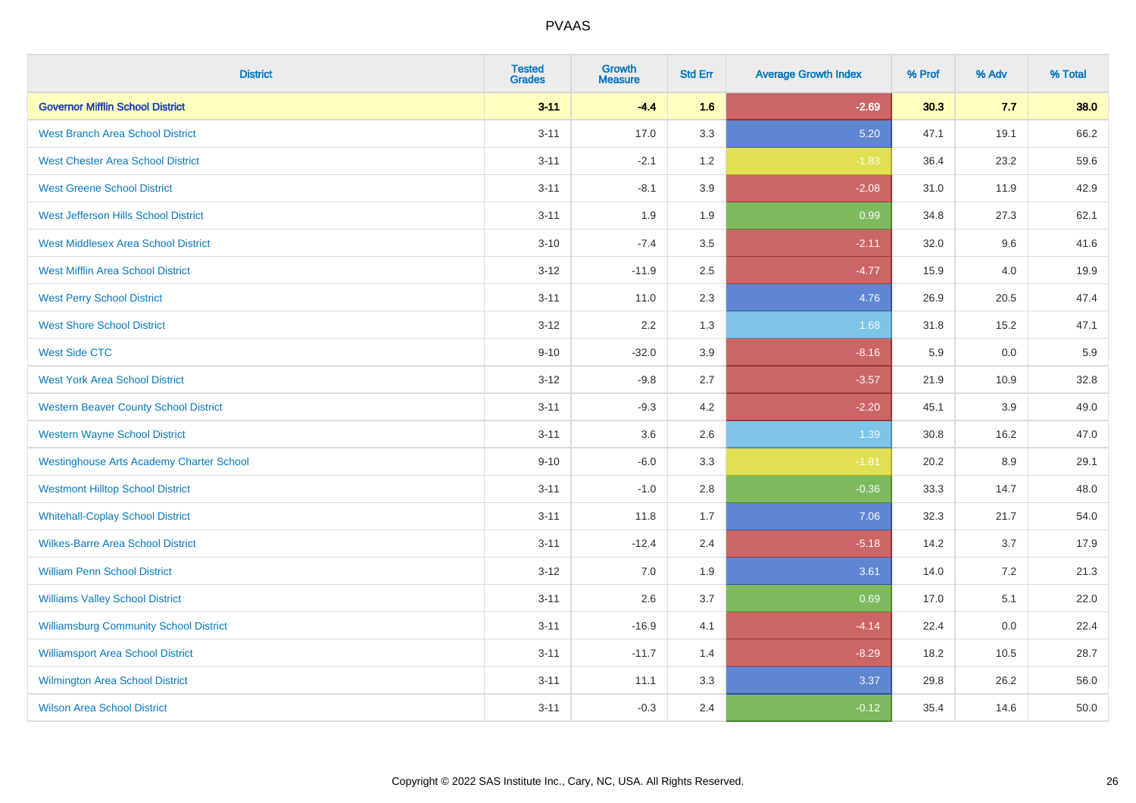| <b>District</b>                                 | <b>Tested</b><br><b>Grades</b> | <b>Growth</b><br><b>Measure</b> | <b>Std Err</b> | <b>Average Growth Index</b> | % Prof | % Adv | % Total |
|-------------------------------------------------|--------------------------------|---------------------------------|----------------|-----------------------------|--------|-------|---------|
| <b>Governor Mifflin School District</b>         | $3 - 11$                       | $-4.4$                          | 1.6            | $-2.69$                     | 30.3   | 7.7   | 38.0    |
| <b>West Branch Area School District</b>         | $3 - 11$                       | 17.0                            | 3.3            | 5.20                        | 47.1   | 19.1  | 66.2    |
| <b>West Chester Area School District</b>        | $3 - 11$                       | $-2.1$                          | 1.2            | $-1.83$                     | 36.4   | 23.2  | 59.6    |
| <b>West Greene School District</b>              | $3 - 11$                       | $-8.1$                          | 3.9            | $-2.08$                     | 31.0   | 11.9  | 42.9    |
| West Jefferson Hills School District            | $3 - 11$                       | 1.9                             | 1.9            | 0.99                        | 34.8   | 27.3  | 62.1    |
| <b>West Middlesex Area School District</b>      | $3 - 10$                       | $-7.4$                          | 3.5            | $-2.11$                     | 32.0   | 9.6   | 41.6    |
| <b>West Mifflin Area School District</b>        | $3 - 12$                       | $-11.9$                         | 2.5            | $-4.77$                     | 15.9   | 4.0   | 19.9    |
| <b>West Perry School District</b>               | $3 - 11$                       | 11.0                            | 2.3            | 4.76                        | 26.9   | 20.5  | 47.4    |
| <b>West Shore School District</b>               | $3 - 12$                       | 2.2                             | 1.3            | 1.68                        | 31.8   | 15.2  | 47.1    |
| <b>West Side CTC</b>                            | $9 - 10$                       | $-32.0$                         | 3.9            | $-8.16$                     | 5.9    | 0.0   | 5.9     |
| <b>West York Area School District</b>           | $3 - 12$                       | $-9.8$                          | 2.7            | $-3.57$                     | 21.9   | 10.9  | 32.8    |
| <b>Western Beaver County School District</b>    | $3 - 11$                       | $-9.3$                          | 4.2            | $-2.20$                     | 45.1   | 3.9   | 49.0    |
| <b>Western Wayne School District</b>            | $3 - 11$                       | 3.6                             | 2.6            | 1.39                        | 30.8   | 16.2  | 47.0    |
| <b>Westinghouse Arts Academy Charter School</b> | $9 - 10$                       | $-6.0$                          | 3.3            | $-1.81$                     | 20.2   | 8.9   | 29.1    |
| <b>Westmont Hilltop School District</b>         | $3 - 11$                       | $-1.0$                          | 2.8            | $-0.36$                     | 33.3   | 14.7  | 48.0    |
| <b>Whitehall-Coplay School District</b>         | $3 - 11$                       | 11.8                            | 1.7            | 7.06                        | 32.3   | 21.7  | 54.0    |
| <b>Wilkes-Barre Area School District</b>        | $3 - 11$                       | $-12.4$                         | 2.4            | $-5.18$                     | 14.2   | 3.7   | 17.9    |
| <b>William Penn School District</b>             | $3 - 12$                       | 7.0                             | 1.9            | 3.61                        | 14.0   | 7.2   | 21.3    |
| <b>Williams Valley School District</b>          | $3 - 11$                       | 2.6                             | 3.7            | 0.69                        | 17.0   | 5.1   | 22.0    |
| <b>Williamsburg Community School District</b>   | $3 - 11$                       | $-16.9$                         | 4.1            | $-4.14$                     | 22.4   | 0.0   | 22.4    |
| <b>Williamsport Area School District</b>        | $3 - 11$                       | $-11.7$                         | 1.4            | $-8.29$                     | 18.2   | 10.5  | 28.7    |
| Wilmington Area School District                 | $3 - 11$                       | 11.1                            | 3.3            | 3.37                        | 29.8   | 26.2  | 56.0    |
| <b>Wilson Area School District</b>              | $3 - 11$                       | $-0.3$                          | 2.4            | $-0.12$                     | 35.4   | 14.6  | 50.0    |